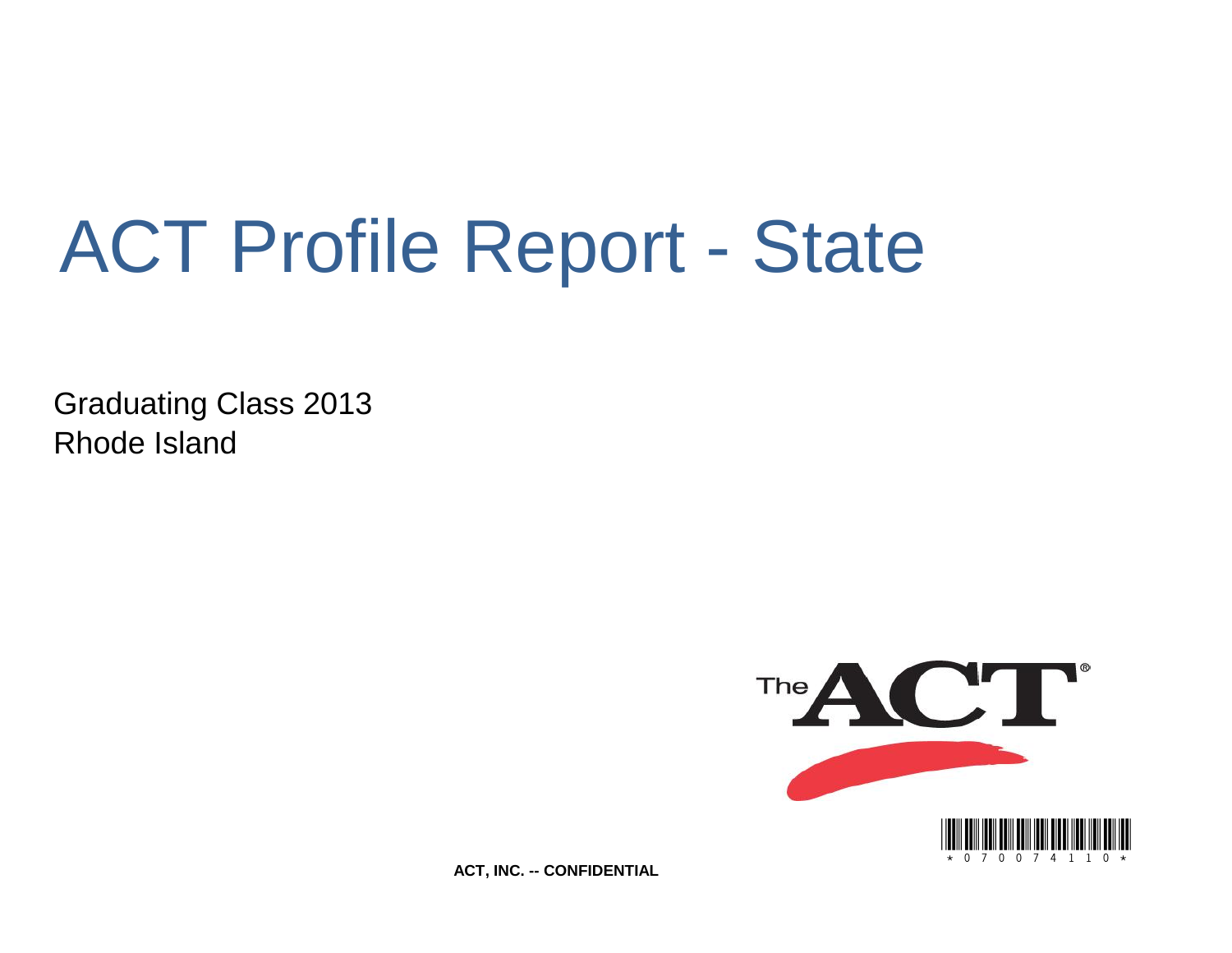# ACT Profile Report - State

Graduating Class 2013 Rhode Island



**ACT, INC. -- CONFIDENTIAL**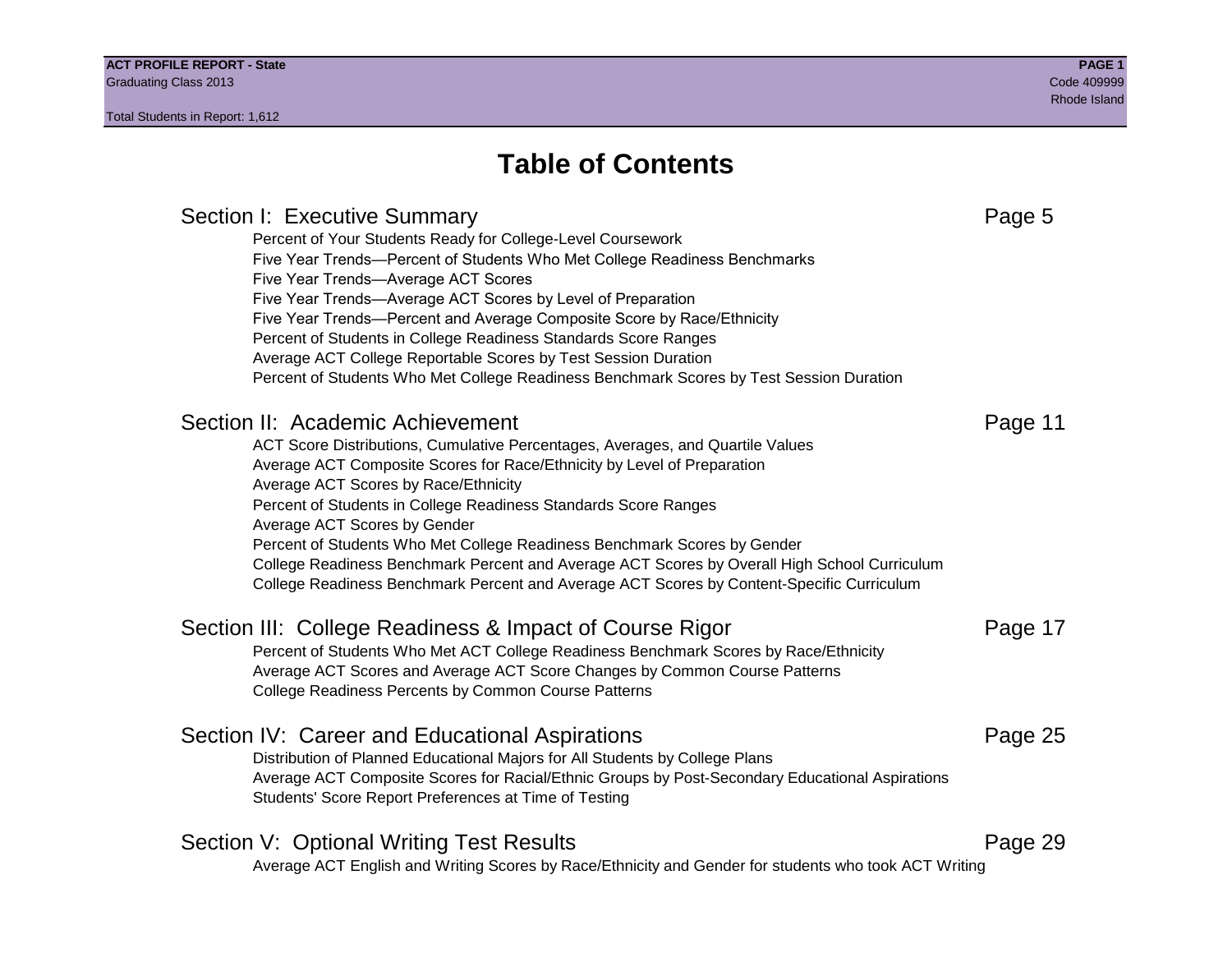# **Table of Contents**

# Section I: Executive Summary **Page 5** and the section I: Executive Summary Percent of Your Students Ready for College-Level Coursework Five Year Trends—Percent of Students Who Met College Readiness Benchmarks Five Year Trends—Average ACT Scores Five Year Trends—Average ACT Scores by Level of Preparation Five Year Trends—Percent and Average Composite Score by Race/Ethnicity Percent of Students in College Readiness Standards Score Ranges Average ACT College Reportable Scores by Test Session Duration Percent of Students Who Met College Readiness Benchmark Scores by Test Session Duration Section II: Academic Achievement **Page 11** Page 11 ACT Score Distributions, Cumulative Percentages, Averages, and Quartile Values Average ACT Composite Scores for Race/Ethnicity by Level of Preparation Average ACT Scores by Race/Ethnicity Percent of Students in College Readiness Standards Score Ranges Average ACT Scores by Gender Percent of Students Who Met College Readiness Benchmark Scores by Gender College Readiness Benchmark Percent and Average ACT Scores by Overall High School Curriculum College Readiness Benchmark Percent and Average ACT Scores by Content-Specific Curriculum Section III: College Readiness & Impact of Course Rigor Page 17 Percent of Students Who Met ACT College Readiness Benchmark Scores by Race/Ethnicity Average ACT Scores and Average ACT Score Changes by Common Course Patterns College Readiness Percents by Common Course Patterns Section IV: Career and Educational Aspirations **Page 25** Page 25 Distribution of Planned Educational Majors for All Students by College Plans Average ACT Composite Scores for Racial/Ethnic Groups by Post-Secondary Educational Aspirations Students' Score Report Preferences at Time of Testing Section V: Optional Writing Test Results **Page 29** Page 29 Average ACT English and Writing Scores by Race/Ethnicity and Gender for students who took ACT Writing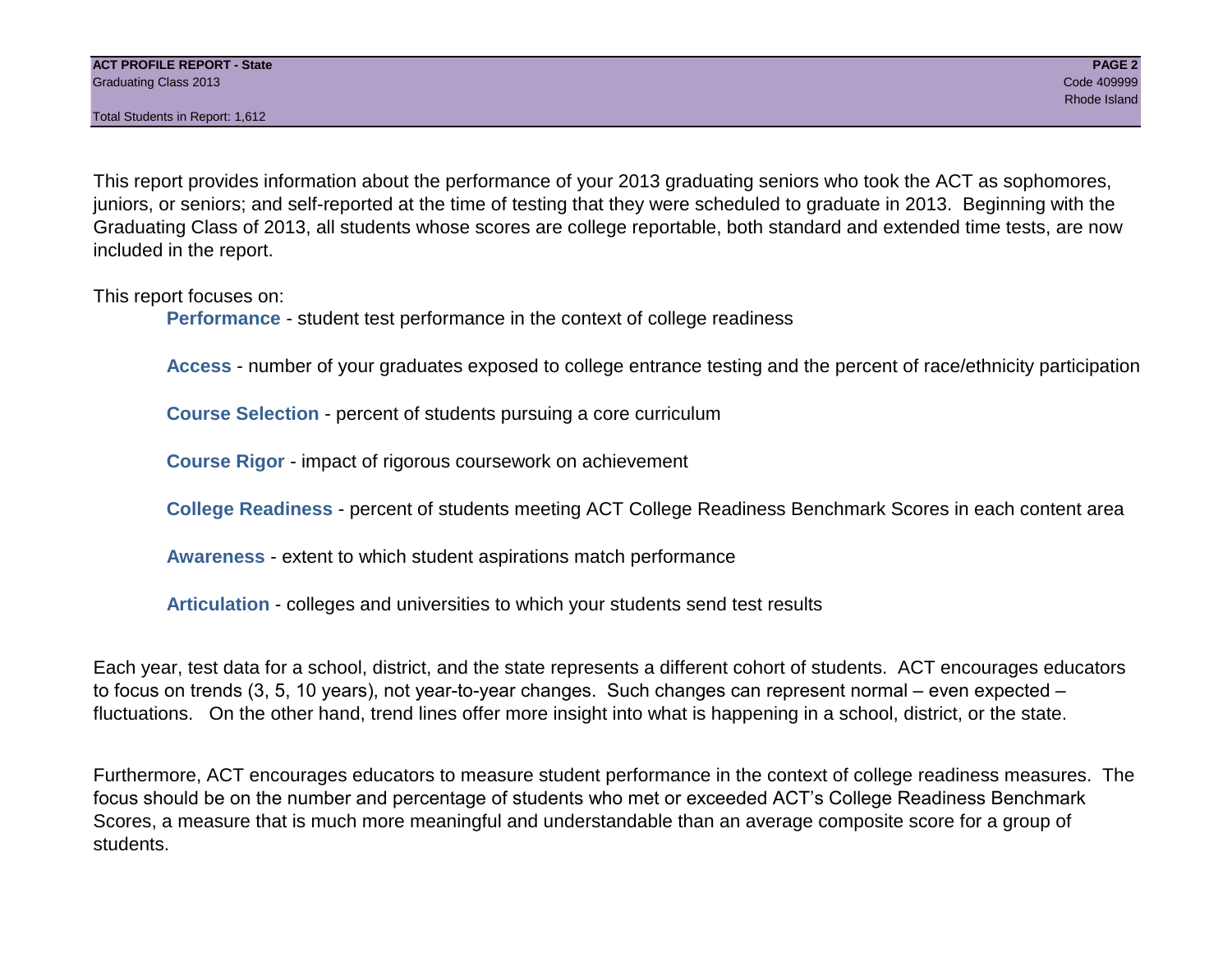Total Students in Report: 1,612

This report provides information about the performance of your 2013 graduating seniors who took the ACT as sophomores, juniors, or seniors; and self-reported at the time of testing that they were scheduled to graduate in 2013. Beginning with the Graduating Class of 2013, all students whose scores are college reportable, both standard and extended time tests, are now included in the report.

This report focuses on:

**Performance** - student test performance in the context of college readiness

**Access** - number of your graduates exposed to college entrance testing and the percent of race/ethnicity participation

**Course Selection** - percent of students pursuing a core curriculum

**Course Rigor** - impact of rigorous coursework on achievement

**College Readiness** - percent of students meeting ACT College Readiness Benchmark Scores in each content area

**Awareness** - extent to which student aspirations match performance

**Articulation** - colleges and universities to which your students send test results

Each year, test data for a school, district, and the state represents a different cohort of students. ACT encourages educators to focus on trends (3, 5, 10 years), not year-to-year changes. Such changes can represent normal – even expected – fluctuations. On the other hand, trend lines offer more insight into what is happening in a school, district, or the state.

Furthermore, ACT encourages educators to measure student performance in the context of college readiness measures. The focus should be on the number and percentage of students who met or exceeded ACT's College Readiness Benchmark Scores, a measure that is much more meaningful and understandable than an average composite score for a group of students.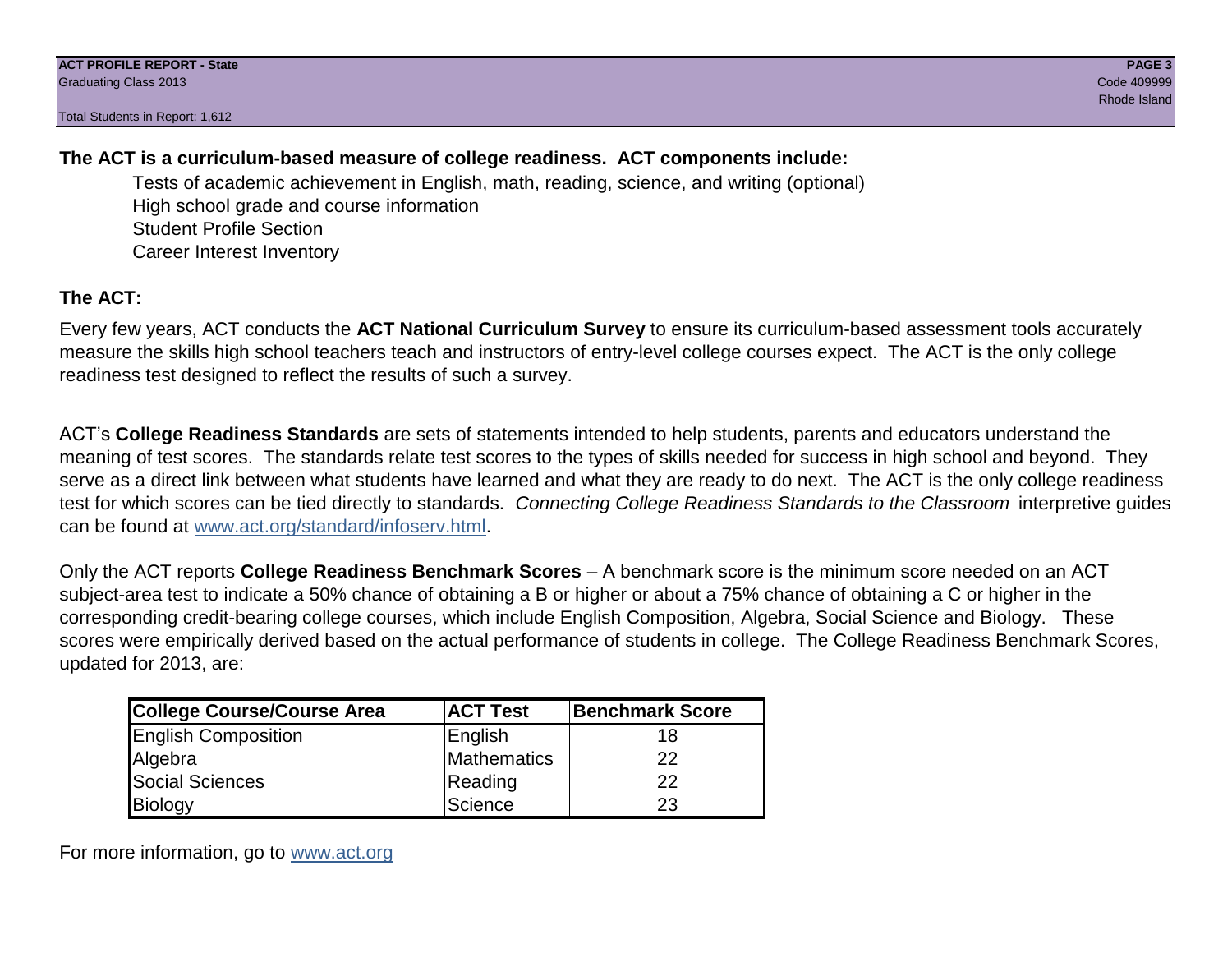Total Students in Report: 1,612

# **The ACT is a curriculum-based measure of college readiness. ACT components include:**

Tests of academic achievement in English, math, reading, science, and writing (optional) High school grade and course information Student Profile Section Career Interest Inventory

# **The ACT:**

Every few years, ACT conducts the **ACT National Curriculum Survey** to ensure its curriculum-based assessment tools accurately measure the skills high school teachers teach and instructors of entry-level college courses expect. The ACT is the only college readiness test designed to reflect the results of such a survey.

ACT's **College Readiness Standards** are sets of statements intended to help students, parents and educators understand the meaning of test scores. The standards relate test scores to the types of skills needed for success in high school and beyond. They serve as a direct link between what students have learned and what they are ready to do next. The ACT is the only college readiness test for which scores can be tied directly to standards. *Connecting College Readiness Standards to the Classroom* interpretive guides can be found at www.act.org/standard/infoserv.html.

Only the ACT reports **College Readiness Benchmark Scores** – A benchmark score is the minimum score needed on an ACT subject-area test to indicate a 50% chance of obtaining a B or higher or about a 75% chance of obtaining a C or higher in the corresponding credit-bearing college courses, which include English Composition, Algebra, Social Science and Biology. These scores were empirically derived based on the actual performance of students in college. The College Readiness Benchmark Scores, updated for 2013, are:

| College Course/Course Area | <b>ACT Test</b> | <b>Benchmark Score</b> |
|----------------------------|-----------------|------------------------|
| <b>English Composition</b> | English         | 18                     |
| Algebra                    | Mathematics     | 22                     |
| <b>Social Sciences</b>     | Reading         | 22                     |
| Biology                    | Science         | 23                     |

For more information, go to www.act.org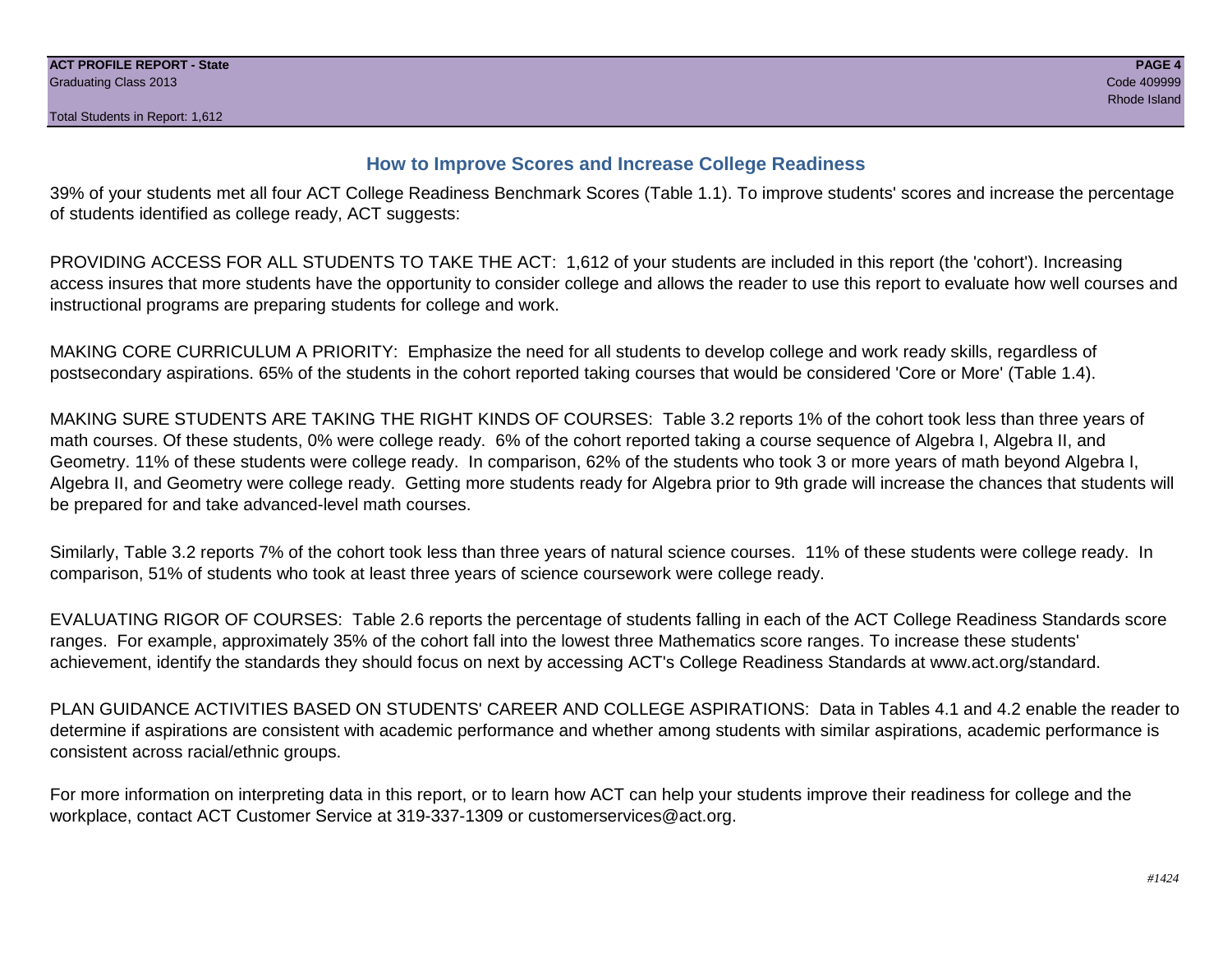### **How to Improve Scores and Increase College Readiness**

39% of your students met all four ACT College Readiness Benchmark Scores (Table 1.1). To improve students' scores and increase the percentage of students identified as college ready, ACT suggests:

PROVIDING ACCESS FOR ALL STUDENTS TO TAKE THE ACT: 1,612 of your students are included in this report (the 'cohort'). Increasing access insures that more students have the opportunity to consider college and allows the reader to use this report to evaluate how well courses and instructional programs are preparing students for college and work.

MAKING CORE CURRICULUM A PRIORITY: Emphasize the need for all students to develop college and work ready skills, regardless of postsecondary aspirations. 65% of the students in the cohort reported taking courses that would be considered 'Core or More' (Table 1.4).

MAKING SURE STUDENTS ARE TAKING THE RIGHT KINDS OF COURSES: Table 3.2 reports 1% of the cohort took less than three years of math courses. Of these students, 0% were college ready. 6% of the cohort reported taking a course sequence of Algebra I, Algebra II, and Geometry. 11% of these students were college ready. In comparison, 62% of the students who took 3 or more years of math beyond Algebra I, Algebra II, and Geometry were college ready. Getting more students ready for Algebra prior to 9th grade will increase the chances that students will be prepared for and take advanced-level math courses.

Similarly, Table 3.2 reports 7% of the cohort took less than three years of natural science courses. 11% of these students were college ready. In comparison, 51% of students who took at least three years of science coursework were college ready.

EVALUATING RIGOR OF COURSES: Table 2.6 reports the percentage of students falling in each of the ACT College Readiness Standards score ranges. For example, approximately 35% of the cohort fall into the lowest three Mathematics score ranges. To increase these students' achievement, identify the standards they should focus on next by accessing ACT's College Readiness Standards at www.act.org/standard.

PLAN GUIDANCE ACTIVITIES BASED ON STUDENTS' CAREER AND COLLEGE ASPIRATIONS: Data in Tables 4.1 and 4.2 enable the reader to determine if aspirations are consistent with academic performance and whether among students with similar aspirations, academic performance is consistent across racial/ethnic groups.

For more information on interpreting data in this report, or to learn how ACT can help your students improve their readiness for college and the workplace, contact ACT Customer Service at 319-337-1309 or customerservices@act.org.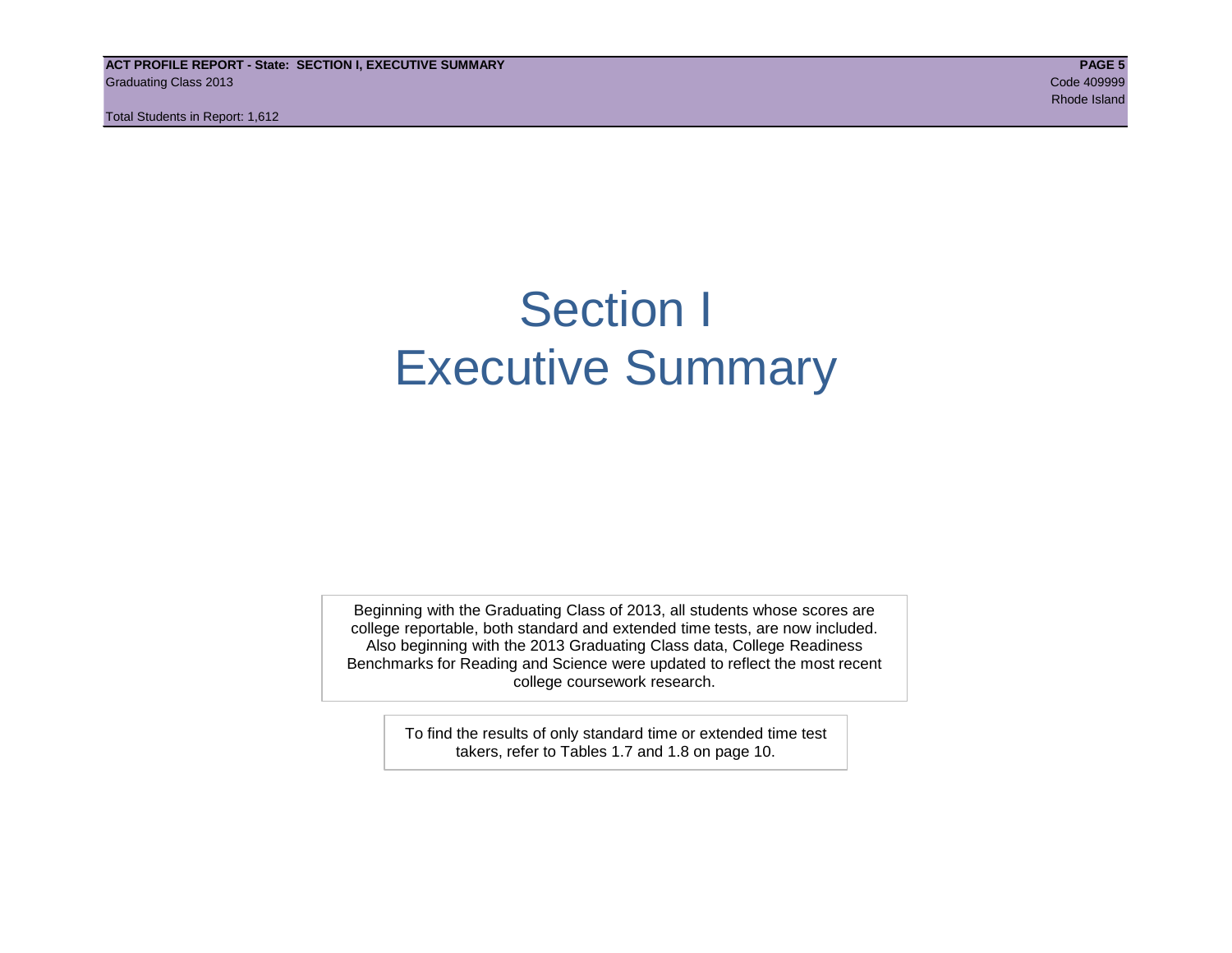**ACT PROFILE REPORT - State: SECTION I, EXECUTIVE SUMMARY PAGE 5** Graduating Class 2013 Code 409999

Total Students in Report: 1,612

# Section I Executive Summary

Beginning with the Graduating Class of 2013, all students whose scores are college reportable, both standard and extended time tests, are now included. Also beginning with the 2013 Graduating Class data, College Readiness Benchmarks for Reading and Science were updated to reflect the most recent college coursework research.

> To find the results of only standard time or extended time test takers, refer to Tables 1.7 and 1.8 on page 10.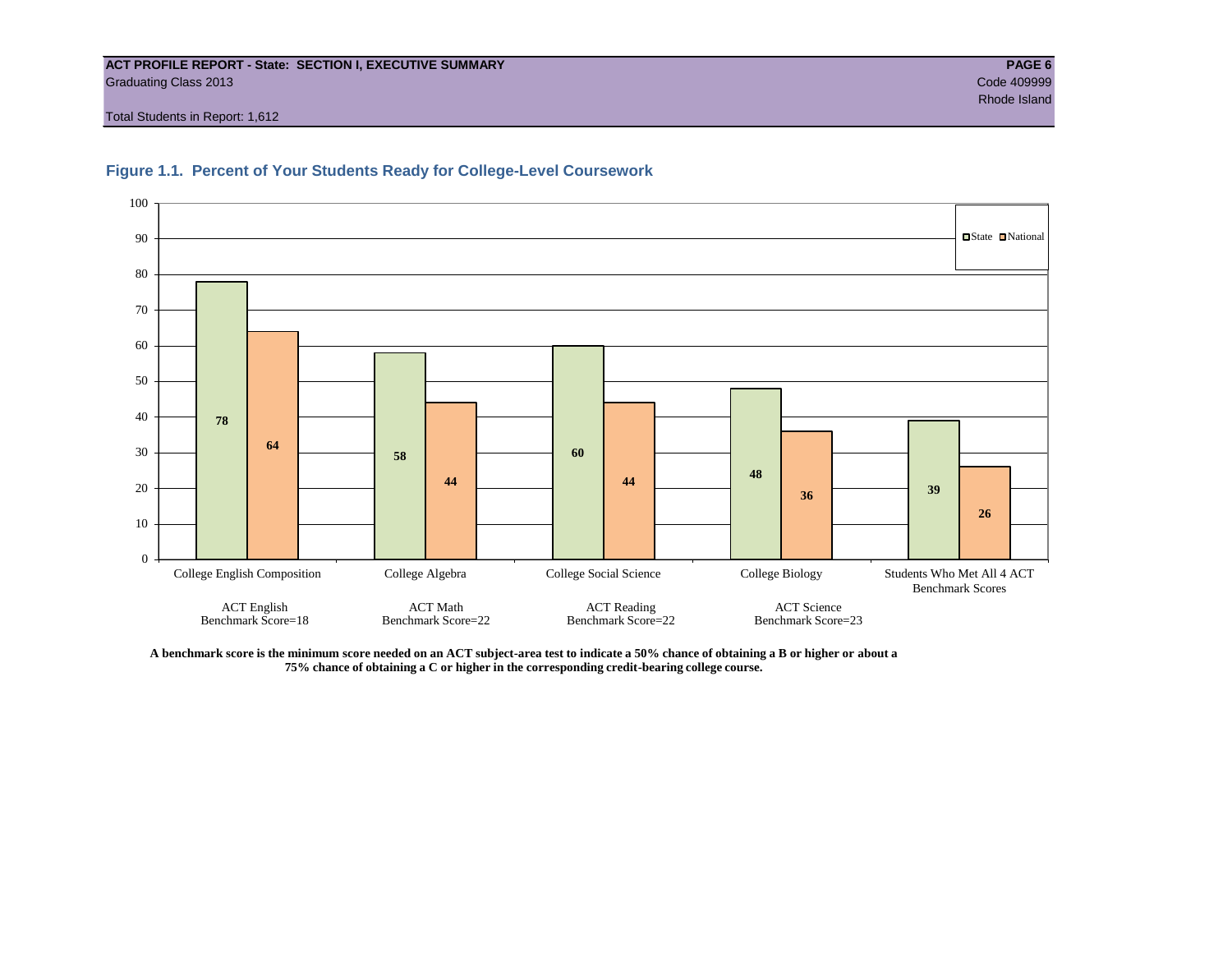#### **ACT PROFILE REPORT - State: SECTION I, EXECUTIVE SUMMARY PAGE 6** Graduating Class 2013 Code 409999

Total Students in Report: 1,612





**A benchmark score is the minimum score needed on an ACT subject-area test to indicate a 50% chance of obtaining a B or higher or about a 75% chance of obtaining a C or higher in the corresponding credit-bearing college course.**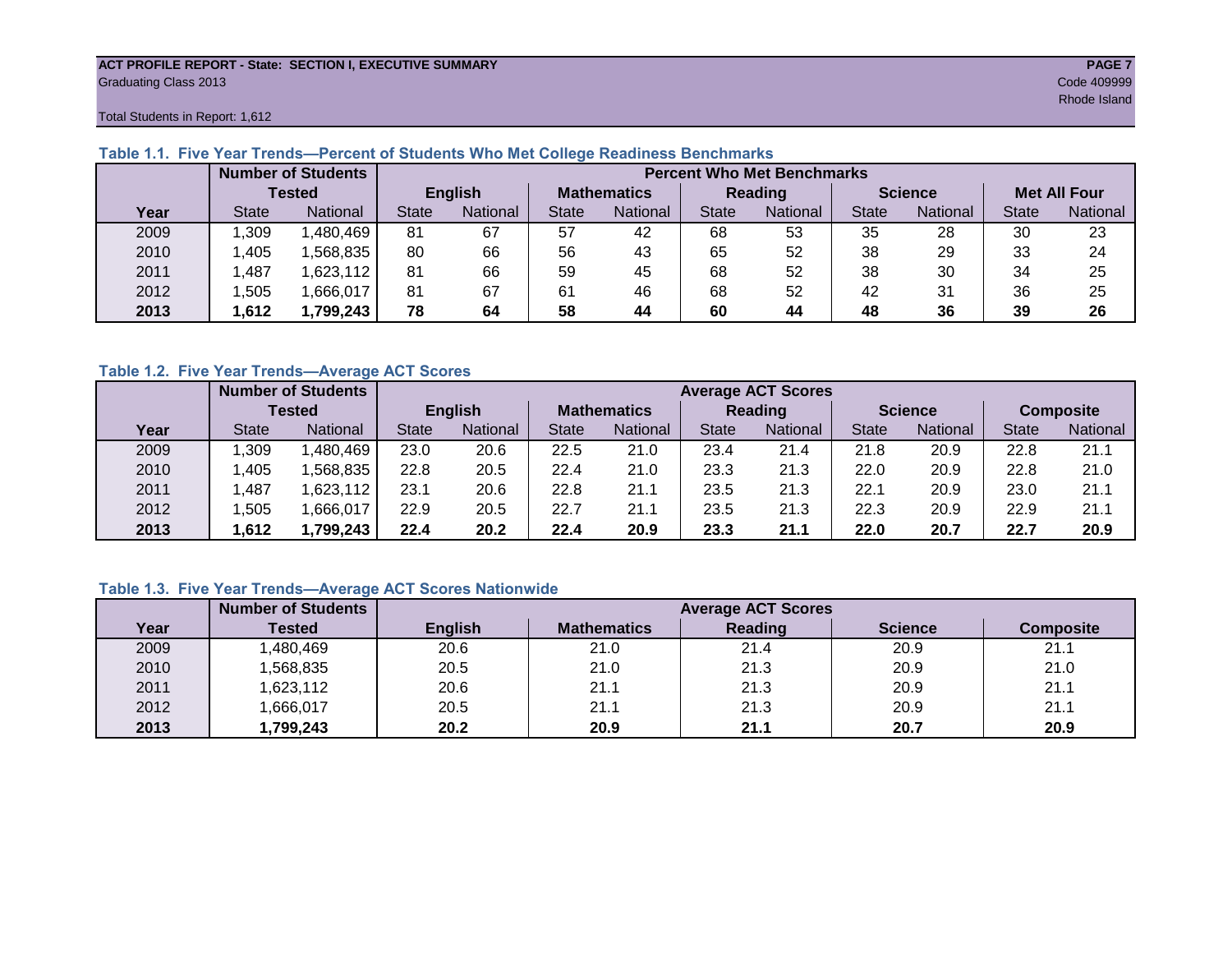#### **ACT PROFILE REPORT - State: SECTION I, EXECUTIVE SUMMARY PAGE 7** Graduating Class 2013 Code 409999

Total Students in Report: 1,612

|      |              | <b>Number of Students</b> |                |          | <b>Percent Who Met Benchmarks</b> |          |              |          |                |          |                     |          |  |  |
|------|--------------|---------------------------|----------------|----------|-----------------------------------|----------|--------------|----------|----------------|----------|---------------------|----------|--|--|
|      | Tested       |                           | <b>English</b> |          | <b>Mathematics</b>                |          | Reading      |          | <b>Science</b> |          | <b>Met All Four</b> |          |  |  |
| Year | <b>State</b> | <b>National</b>           | <b>State</b>   | National |                                   | National | <b>State</b> | National | <b>State</b>   | National | <b>State</b>        | National |  |  |
| 2009 | ,309         | 1,480,469                 | 81             | 67       | 57                                | 42       | 68           | 53       | 35             | 28       | 30                  | 23       |  |  |
| 2010 | .405         | ,568,835                  | 80             | 66       | 56                                | 43       | 65           | 52       | 38             | 29       | 33                  | 24       |  |  |
| 2011 | .487         | 1,623,112                 | 81             | 66       | 59                                | 45       | 68           | 52       | 38             | 30       | 34                  | 25       |  |  |
| 2012 | .505         | 1,666,017                 | 81             | 67       | 61                                | 46       | 68           | 52       | 42             | 31       | 36                  | 25       |  |  |
| 2013 | .612         | 1,799,243                 | 78             | 64       | 58                                | 44       | 60           | 44       | 48             | 36       | 39                  | 26       |  |  |

### **Table 1.1. Five Year Trends—Percent of Students Who Met College Readiness Benchmarks**

### **Table 1.2. Five Year Trends—Average ACT Scores**

|      |              | <b>Number of Students</b> |              |                | <b>Average ACT Scores</b> |                 |                |                 |                |          |                  |          |  |  |
|------|--------------|---------------------------|--------------|----------------|---------------------------|-----------------|----------------|-----------------|----------------|----------|------------------|----------|--|--|
|      |              | Tested                    |              | <b>English</b> | <b>Mathematics</b>        |                 | <b>Reading</b> |                 | <b>Science</b> |          | <b>Composite</b> |          |  |  |
| Year | <b>State</b> | <b>National</b>           | <b>State</b> | National       | State                     | <b>National</b> | <b>State</b>   | <b>National</b> | <b>State</b>   | National | <b>State</b>     | National |  |  |
| 2009 | ,309         | .480,469                  | 23.0         | 20.6           | 22.5                      | 21.0            | 23.4           | 21.4            | 21.8           | 20.9     | 22.8             | 21.1     |  |  |
| 2010 | .405         | .568.835                  | 22.8         | 20.5           | 22.4                      | 21.0            | 23.3           | 21.3            | 22.0           | 20.9     | 22.8             | 21.0     |  |  |
| 2011 | ,487         | .623,112                  | 23.1         | 20.6           | 22.8                      | 21.1            | 23.5           | 21.3            | 22.1           | 20.9     | 23.0             | 21.1     |  |  |
| 2012 | .505         | ,666,017                  | 22.9         | 20.5           | 22.7                      | 21.1            | 23.5           | 21.3            | 22.3           | 20.9     | 22.9             | 21.1     |  |  |
| 2013 | .612         | ,799,243                  | 22.4         | 20.2           | 22.4                      | 20.9            | 23.3           | 21.1            | 22.0           | 20.7     | 22.7             | 20.9     |  |  |

### **Table 1.3. Five Year Trends—Average ACT Scores Nationwide**

|      | <b>Number of Students</b> |                | <b>Average ACT Scores</b> |         |                |                  |  |  |  |  |  |  |
|------|---------------------------|----------------|---------------------------|---------|----------------|------------------|--|--|--|--|--|--|
| Year | Tested                    | <b>English</b> | <b>Mathematics</b>        | Reading | <b>Science</b> | <b>Composite</b> |  |  |  |  |  |  |
| 2009 | ,480,469                  | 20.6           | 21.0                      | 21.4    | 20.9           | 21.1             |  |  |  |  |  |  |
| 2010 | ,568,835                  | 20.5           | 21.0                      | 21.3    | 20.9           | 21.0             |  |  |  |  |  |  |
| 2011 | ,623,112                  | 20.6           | 21.1                      | 21.3    | 20.9           | 21.1             |  |  |  |  |  |  |
| 2012 | ,666,017                  | 20.5           | 21.1                      | 21.3    | 20.9           | 21.1             |  |  |  |  |  |  |
| 2013 | 1,799,243                 | 20.2           | 20.9                      | 21.1    | 20.7           | 20.9             |  |  |  |  |  |  |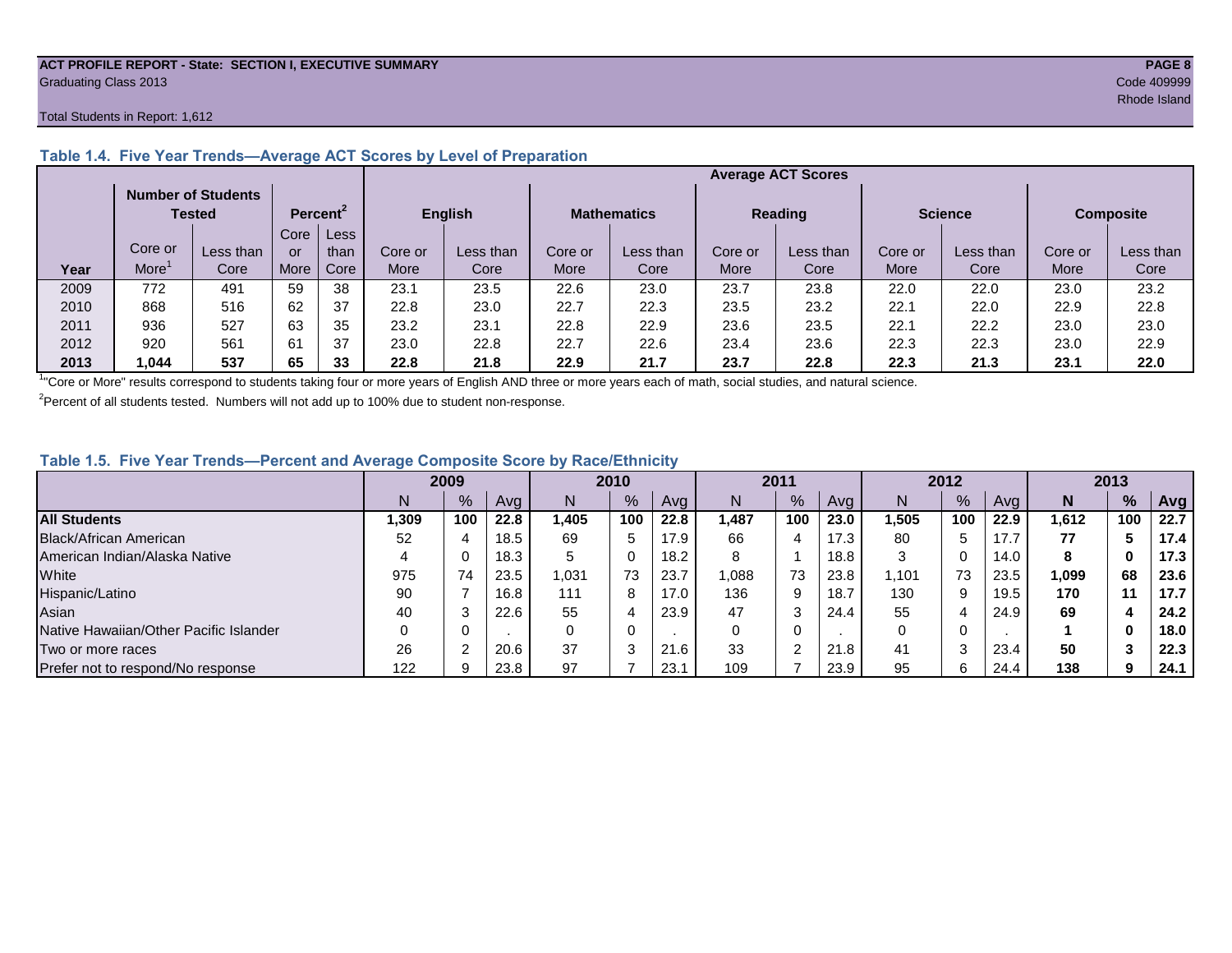#### **ACT PROFILE REPORT - State: SECTION I, EXECUTIVE SUMMARY PAGE 8** Graduating Class 2013 Code 409999

#### Total Students in Report: 1,612

|      |         |                                     |      |                      |         |           |                    |           |                | <b>Average ACT Scores</b> |                |           |                  |           |
|------|---------|-------------------------------------|------|----------------------|---------|-----------|--------------------|-----------|----------------|---------------------------|----------------|-----------|------------------|-----------|
|      |         | <b>Number of Students</b><br>Tested |      | Percent <sup>2</sup> | English |           | <b>Mathematics</b> |           | <b>Reading</b> |                           | <b>Science</b> |           | <b>Composite</b> |           |
|      |         |                                     | Core | Less                 |         |           |                    |           |                |                           |                |           |                  |           |
|      | Core or | Less than                           | or   | than                 | Core or | Less than | Core or            | Less than | Core or        | Less than                 | Core or        | Less than | Core or          | Less than |
| Year | More    | Core                                | More | Core                 | More    | Core      | More               | Core      | More           | Core                      | More           | Core      | More             | Core      |
| 2009 | 772     | 491                                 | 59   | 38                   | 23.1    | 23.5      | 22.6               | 23.0      | 23.7           | 23.8                      | 22.0           | 22.0      | 23.0             | 23.2      |
| 2010 | 868     | 516                                 | 62   | 37                   | 22.8    | 23.0      | 22.7               | 22.3      | 23.5           | 23.2                      | 22.1           | 22.0      | 22.9             | 22.8      |
| 2011 | 936     | 527                                 | 63   | 35                   | 23.2    | 23.1      | 22.8               | 22.9      | 23.6           | 23.5                      | 22.1           | 22.2      | 23.0             | 23.0      |
| 2012 | 920     | 561                                 | 61   | 37                   | 23.0    | 22.8      | 22.7               | 22.6      | 23.4           | 23.6                      | 22.3           | 22.3      | 23.0             | 22.9      |
| 2013 | ,044    | 537                                 | 65   | 33                   | 22.8    | 21.8      | 22.9               | 21.7      | 23.7           | 22.8                      | 22.3           | 21.3      | 23.1             | 22.0      |

#### **Table 1.4. Five Year Trends—Average ACT Scores by Level of Preparation**

<sup>1</sup>"Core or More" results correspond to students taking four or more years of English AND three or more years each of math, social studies, and natural science.

 $2$ Percent of all students tested. Numbers will not add up to 100% due to student non-response.

#### **Table 1.5. Five Year Trends—Percent and Average Composite Score by Race/Ethnicity**

|                                        | 2009 |     |      | 2010  |               | 2011 |       | 2012 |      |       | 2013 |      |        |     |      |
|----------------------------------------|------|-----|------|-------|---------------|------|-------|------|------|-------|------|------|--------|-----|------|
|                                        |      | %   | Avg  | N     | $\frac{9}{6}$ | Avg  | N     | %    | Avg  | Ν     | %    | Ava  | N      | %   | Avg  |
| <b>All Students</b>                    | .309 | 100 | 22.8 | 1.405 | 100           | 22.8 | 1.487 | 100  | 23.0 | l.505 | 100  | 22.9 | 612. ا | 100 | 22.7 |
| Black/African American                 | 52   |     | 18.5 | 69    | 5             | 17.9 | 66    | 4    | 17.3 | 80    |      |      | 77     |     | 17.4 |
| American Indian/Alaska Native          |      |     | 18.3 | 5     | 0             | 18.2 | 8     |      | 18.8 | ົ     |      | 14.0 | 8      | 0   | 17.3 |
| White                                  | 975  | 74  | 23.5 | 031.ا | 73            | 23.7 | 880,  | 73   | 23.8 | ,101  | 73   | 23.5 | 1,099  | 68  | 23.6 |
| Hispanic/Latino                        | 90   |     | 16.8 | 111   | 8             | 17.0 | 136   | 9    | 18.7 | 130   | 9    | 19.5 | 170    | 11  | 17.7 |
| Asian                                  | 40   |     | 22.6 | 55    | 4             | 23.9 | 47    | 3    | 24.4 | 55    | 4    | 24.9 | 69     |     | 24.2 |
| Native Hawaiian/Other Pacific Islander |      |     |      | 0     | 0             |      |       | 0    |      |       | 0    |      |        | 0   | 18.0 |
| Two or more races                      | 26   |     | 20.6 | 37    | ◠<br>ు        | 21.6 | 33    | ⌒    | 21.8 | 41    |      | 23.4 | 50     |     | 22.3 |
| Prefer not to respond/No response      | 122  |     | 23.8 | 97    |               | 23.1 | 109   |      | 23.9 | 95    | 6    | 24.4 | 138    | 9   | 24.1 |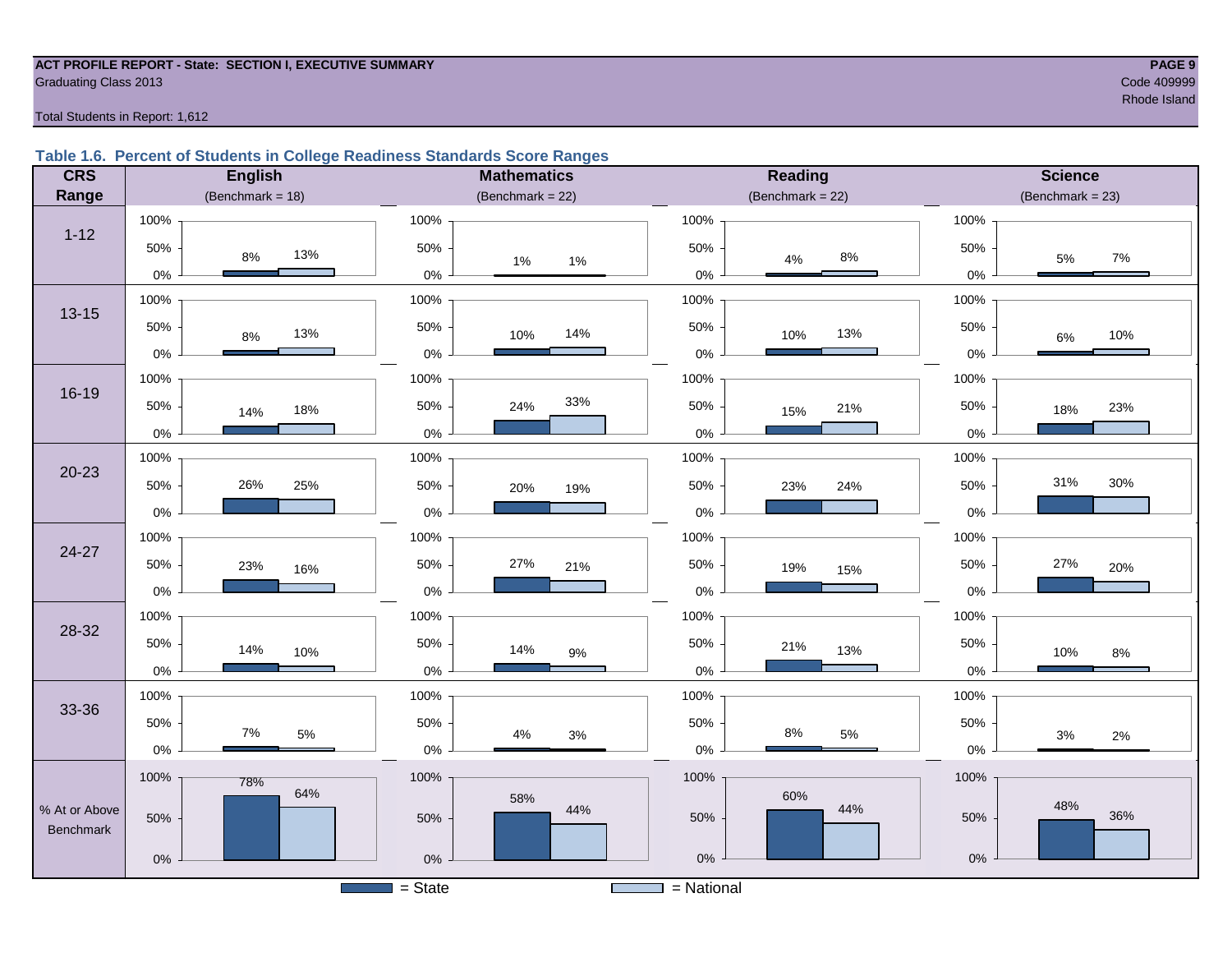#### **ACT PROFILE REPORT - State: SECTION I, EXECUTIVE SUMMARY PAGE 9 Graduating Class 2013** Code 409999 Code 409999

results and the second state of the second state of the second state of the second state  $\mathsf{R}$ hode Island state  $\mathsf{R}$ 

Total Students in Report: 1,612

#### **Table 1.6. Percent of Students in College Readiness Standards Score Ranges**

| <b>CRS</b>    | <b>English</b>        | <b>Mathematics</b>               | Reading               | <b>Science</b>      |
|---------------|-----------------------|----------------------------------|-----------------------|---------------------|
| Range         | (Benchmark = $18$ )   | (Benchmark = $22$ )              | (Benchmark = $22$ )   | $(Benchmark = 23)$  |
|               | 100%                  | 100%                             | 100%                  | 100%                |
| $1 - 12$      | 50%<br>13%<br>$8\%$   | 50%<br>$1\%$<br>$1\%$            | 50%<br>$8\%$<br>4%    | 50%<br>$7\%$<br>5%  |
|               | $0\%$                 | $0\%$                            | $0\%$                 | $0\%$               |
| $13 - 15$     | 100%                  | 100%                             | 100%                  | 100%                |
|               | 50%<br>13%<br>$8\%$   | 50%<br>14%<br>10%                | 50%<br>13%<br>10%     | 50%<br>10%<br>$6\%$ |
|               | $0\%$                 | $0\%$                            | $0\%$                 | 0%                  |
|               | 100%                  | 100%                             | 100%                  | 100%                |
| $16 - 19$     | 50%<br>18%<br>14%     | 33%<br>50%<br>24%                | 50%<br>21%<br>15%     | 50%<br>23%<br>18%   |
|               | $0\%$                 | $0\%$                            | $0\%$                 | 0%                  |
|               | 100%                  | 100%                             | 100%                  | 100%                |
| $20 - 23$     | 26%<br>50%<br>25%     | 50%<br>20%<br>19%                | 50%<br>24%<br>23%     | 31%<br>30%<br>50%   |
|               | $0\%$                 | $0\%$                            | $0\%$                 | 0%                  |
|               | 100%                  | 100%                             | 100%                  | 100%                |
| 24-27         | 50%<br>23%<br>16%     | 50%<br>27%<br>21%                | 50%<br>19%<br>15%     | 50%<br>27%<br>20%   |
|               | $0\%$                 | $0\%$                            | 0%                    | 0%                  |
| 28-32         | 100%                  | 100%                             | 100%                  | 100%                |
|               | 50%<br>14%<br>10%     | 50%<br>14%<br>$9\%$              | 50%<br>21%<br>13%     | 50%<br>10%<br>$8\%$ |
|               | $0\%$                 | $0\%$                            | $0\%$                 | 0%                  |
|               | 100%                  | 100%                             | 100%                  | 100%                |
| 33-36         | 50%<br>$7\%$<br>$5\%$ | 50%                              | 50%<br>$8\%$<br>$5\%$ | 50%                 |
|               | $0\%$                 | $4\%$<br>$3%$<br>$0\%$           | $0\%$                 | $3%$<br>2%<br>$0\%$ |
|               | 100%<br>78%           | 100%                             | 100%                  | 100%                |
| % At or Above | 64%                   | 58%<br>44%                       | 60%<br>44%            | 48%                 |
| Benchmark     | 50%                   | 50%                              | 50%                   | 36%<br>50%          |
|               | $0\%$                 | $0\%$                            | $0\%$                 | $0\%$               |
|               |                       | $=$ State<br><b>The Contract</b> | $=$ National          |                     |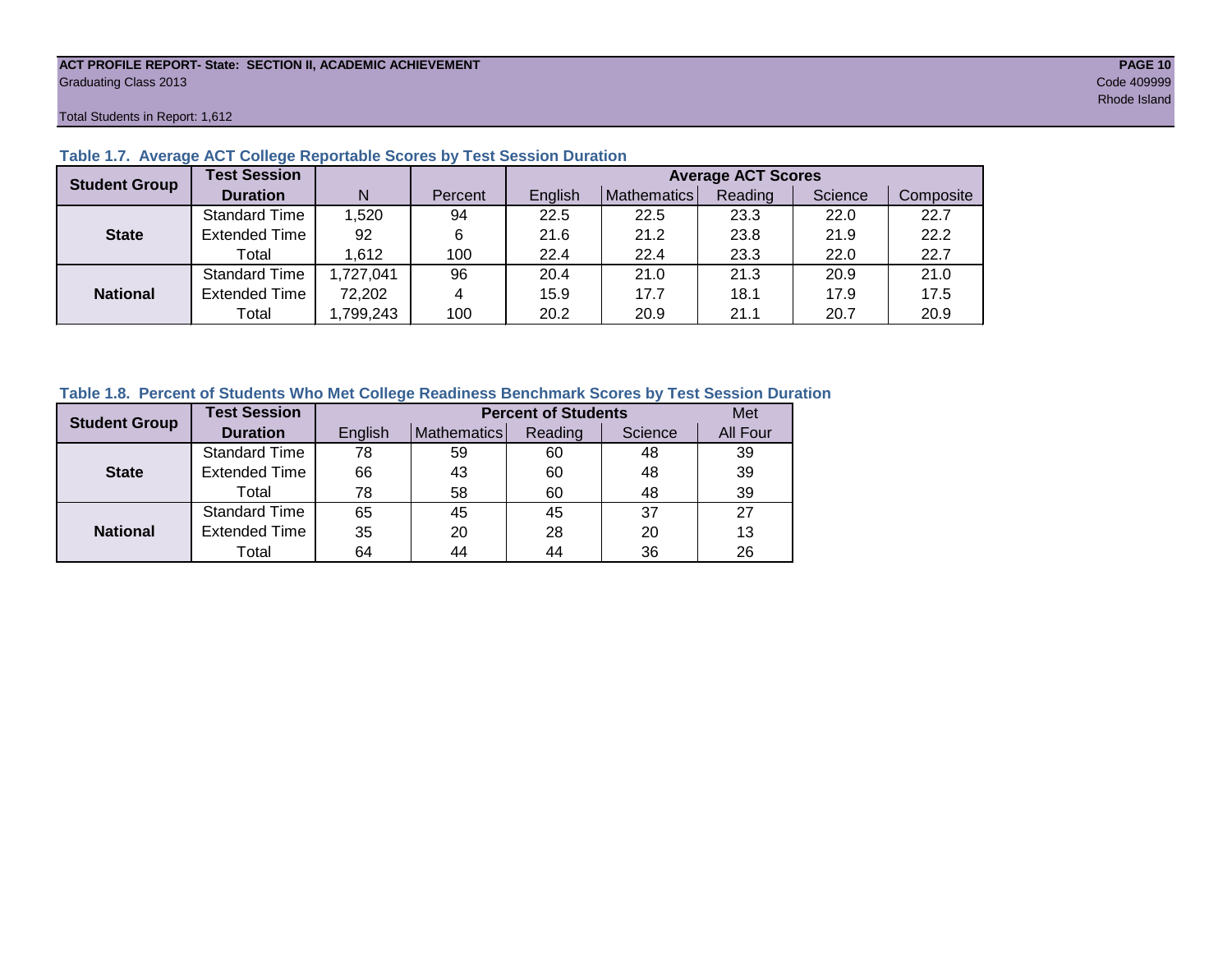#### **ACT PROFILE REPORT- State: SECTION II, ACADEMIC ACHIEVEMENT PAGE 10** Graduating Class 2013 Code 409999

Total Students in Report: 1,612

| <b>Student Group</b> | <b>Test Session</b>  |          |         | <b>Average ACT Scores</b> |             |         |         |           |  |  |  |  |  |
|----------------------|----------------------|----------|---------|---------------------------|-------------|---------|---------|-----------|--|--|--|--|--|
|                      | <b>Duration</b>      | N        | Percent | English                   | Mathematics | Reading | Science | Composite |  |  |  |  |  |
|                      | <b>Standard Time</b> | 1,520    | 94      | 22.5                      | 22.5        | 23.3    | 22.0    | 22.7      |  |  |  |  |  |
| <b>State</b>         | <b>Extended Time</b> | 92       | 6       | 21.6                      | 21.2        | 23.8    | 21.9    | 22.2      |  |  |  |  |  |
|                      | Total                | 1,612    | 100     | 22.4                      | 22.4        | 23.3    | 22.0    | 22.7      |  |  |  |  |  |
|                      | <b>Standard Time</b> | ,727,041 | 96      | 20.4                      | 21.0        | 21.3    | 20.9    | 21.0      |  |  |  |  |  |
| <b>National</b>      | <b>Extended Time</b> | 72,202   | 4       | 15.9                      | 17.7        | 18.1    | 17.9    | 17.5      |  |  |  |  |  |
|                      | Total                | ,799,243 | 100     | 20.2                      | 20.9        | 21.1    | 20.7    | 20.9      |  |  |  |  |  |

### **Table 1.7. Average ACT College Reportable Scores by Test Session Duration**

#### **Table 1.8. Percent of Students Who Met College Readiness Benchmark Scores by Test Session Duration**

| <b>Student Group</b> | <b>Test Session</b>  |         |             | <b>Percent of Students</b> |         | Met      |
|----------------------|----------------------|---------|-------------|----------------------------|---------|----------|
|                      | <b>Duration</b>      | English | Mathematics | Reading                    | Science | All Four |
|                      | Standard Time        | 78      | 59          | 60                         | 48      | 39       |
| <b>State</b>         | <b>Extended Time</b> | 66      | 43          | 60                         | 48      | 39       |
|                      | Total                | 78      | 58          | 60                         | 48      | 39       |
|                      | <b>Standard Time</b> | 65      | 45          | 45                         | 37      | 27       |
| <b>National</b>      | <b>Extended Time</b> | 35      | 20          | 28                         | 20      | 13       |
|                      | Total                | 64      | 44          | 44                         | 36      | 26       |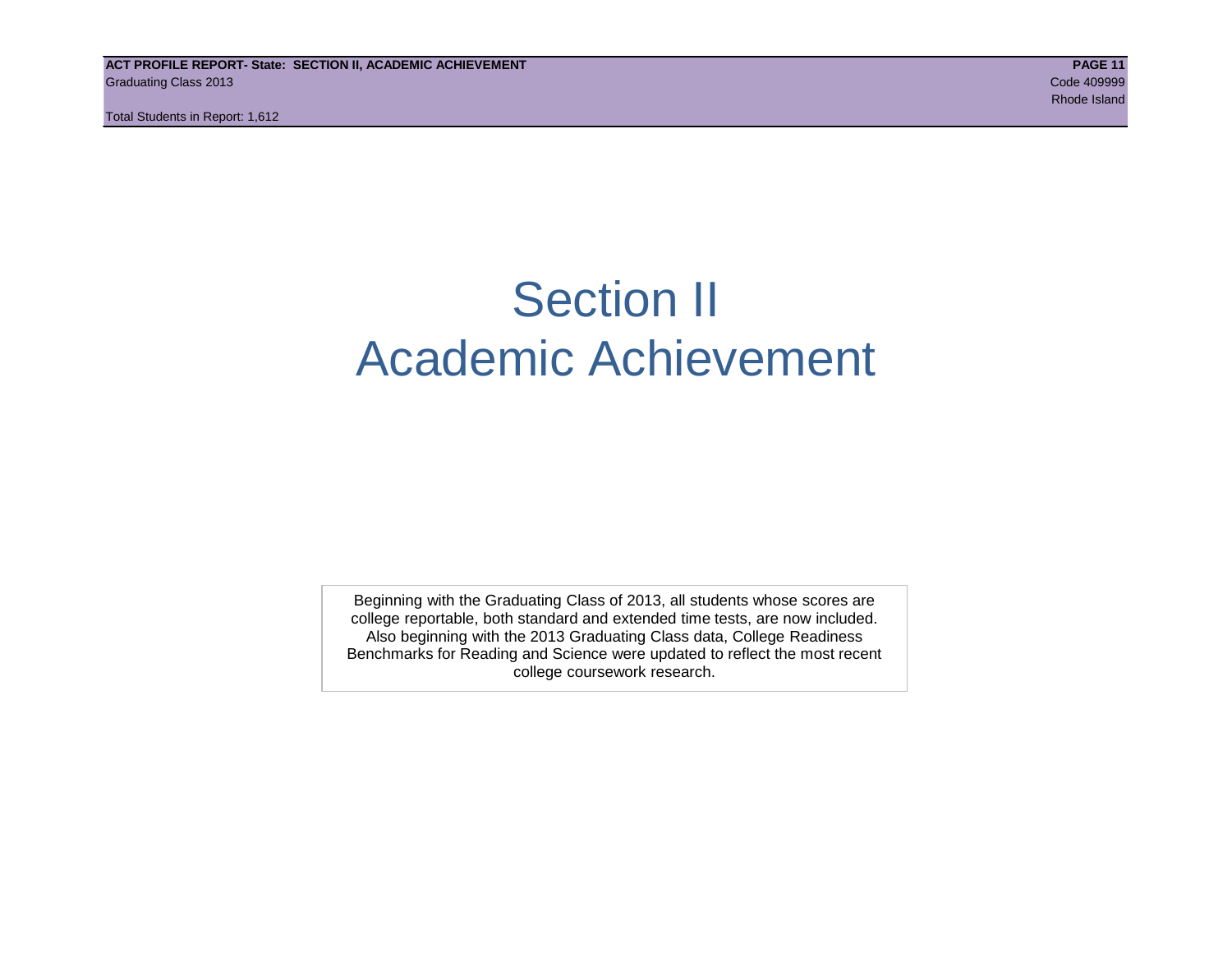**ACT PROFILE REPORT- State: SECTION II, ACADEMIC ACHIEVEMENT PAGE 11** Graduating Class 2013 Code 409999

Total Students in Report: 1,612

# Section II Academic Achievement

Beginning with the Graduating Class of 2013, all students whose scores are college reportable, both standard and extended time tests, are now included. Also beginning with the 2013 Graduating Class data, College Readiness Benchmarks for Reading and Science were updated to reflect the most recent college coursework research.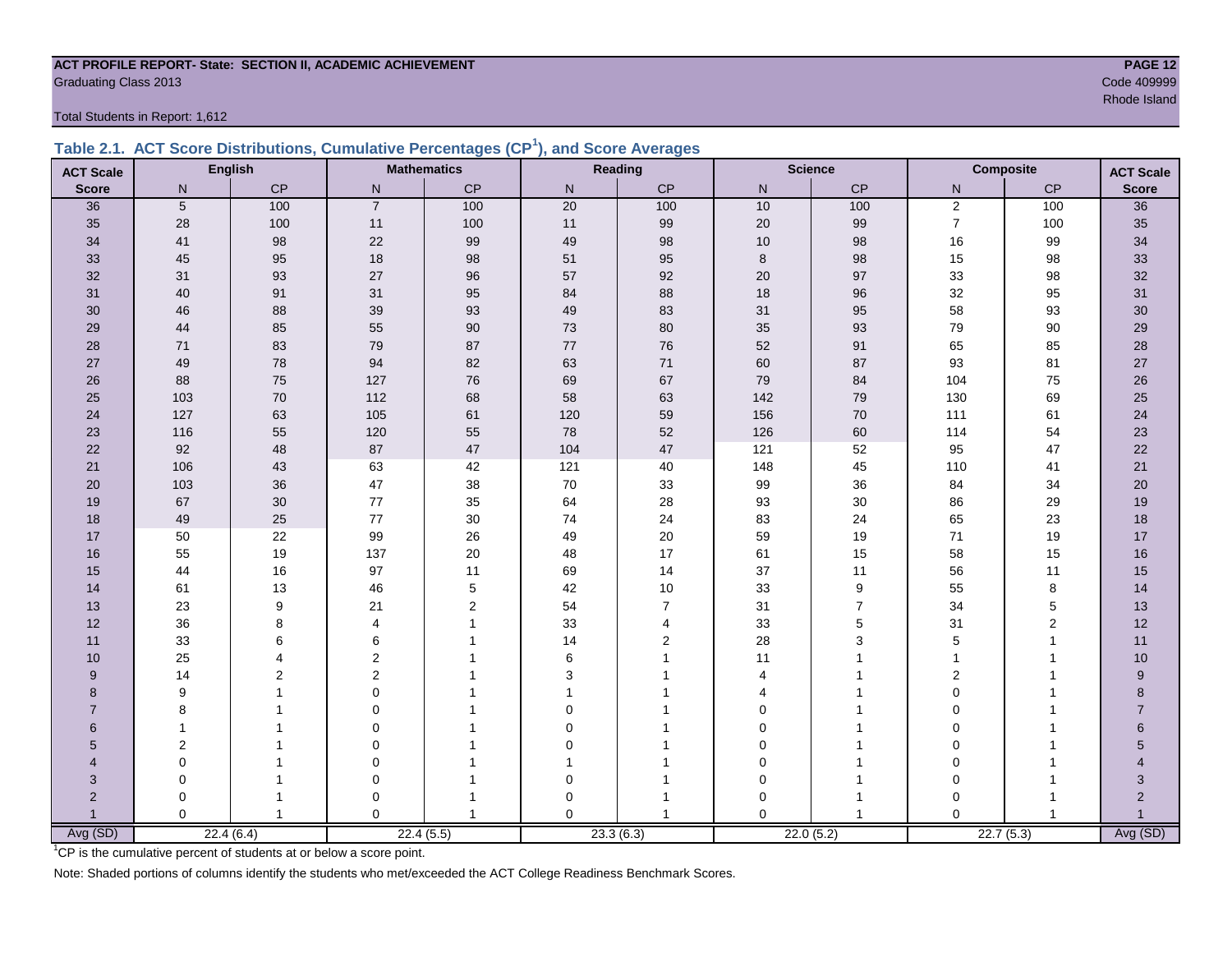#### **ACT PROFILE REPORT- State: SECTION II, ACADEMIC ACHIEVEMENT PAGE 12** Code 409999 Craduating Class 2013

Total Students in Report: 1,612

|  | Table 2.1. ACT Score Distributions, Cumulative Percentages (CP <sup>1</sup> ), and Score Averages |  |  |  |
|--|---------------------------------------------------------------------------------------------------|--|--|--|
|  |                                                                                                   |  |  |  |

| <b>ACT Scale</b> |                 | <b>English</b> |                | <b>Mathematics</b> |                 | Reading        |          | <b>Science</b> |                | <b>Composite</b> | <b>ACT Scale</b>          |
|------------------|-----------------|----------------|----------------|--------------------|-----------------|----------------|----------|----------------|----------------|------------------|---------------------------|
| <b>Score</b>     | $\mathsf{N}$    | CP             | N              | CP                 | N               | CP             | N        | CP             | $\mathsf{N}$   | CP               | <b>Score</b>              |
| 36               | $5\phantom{.0}$ | 100            | $\overline{7}$ | 100                | $\overline{20}$ | 100            | 10       | 100            | $\mathbf 2$    | 100              | 36                        |
| 35               | 28              | 100            | $11$           | 100                | $11$            | 99             | $20\,$   | 99             | $\overline{7}$ | 100              | $35\,$                    |
| 34               | 41              | 98             | 22             | 99                 | 49              | 98             | 10       | 98             | 16             | 99               | 34                        |
| 33               | 45              | 95             | 18             | 98                 | 51              | 95             | 8        | 98             | 15             | 98               | 33                        |
| 32               | 31              | 93             | 27             | 96                 | 57              | 92             | 20       | 97             | 33             | 98               | 32                        |
| 31               | 40              | 91             | 31             | 95                 | 84              | 88             | 18       | 96             | 32             | 95               | 31                        |
| 30               | 46              | 88             | 39             | 93                 | 49              | 83             | 31       | 95             | 58             | 93               | $30\,$                    |
| 29               | 44              | 85             | 55             | $90\,$             | 73              | 80             | 35       | 93             | 79             | $90\,$           | 29                        |
| 28               | 71              | 83             | 79             | 87                 | $77\,$          | 76             | 52       | 91             | 65             | 85               | 28                        |
| 27               | 49              | 78             | 94             | 82                 | 63              | 71             | 60       | 87             | 93             | 81               | 27                        |
| 26               | 88              | 75             | 127            | 76                 | 69              | 67             | 79       | 84             | 104            | 75               | 26                        |
| 25               | 103             | $70\,$         | 112            | 68                 | 58              | 63             | 142      | 79             | 130            | 69               | 25                        |
| 24               | 127             | 63             | 105            | 61                 | 120             | 59             | 156      | $70\,$         | 111            | 61               | $24\,$                    |
| 23               | 116             | 55             | 120            | 55                 | 78              | 52             | 126      | 60             | 114            | 54               | 23                        |
| 22               | 92              | 48             | 87             | 47                 | 104             | 47             | 121      | 52             | 95             | 47               | 22                        |
| 21               | 106             | 43             | 63             | 42                 | 121             | 40             | 148      | 45             | 110            | 41               | 21                        |
| 20               | 103             | 36             | 47             | 38                 | $70\,$          | 33             | 99       | 36             | 84             | 34               | 20                        |
| 19               | 67              | 30             | 77             | 35                 | 64              | 28             | 93       | $30\,$         | 86             | 29               | 19                        |
| 18               | 49              | 25             | 77             | 30                 | 74              | 24             | 83       | 24             | 65             | 23               | 18                        |
| 17               | 50              | 22             | 99             | 26                 | 49              | 20             | 59       | 19             | 71             | 19               | 17                        |
| 16               | 55              | 19             | 137            | 20                 | 48              | 17             | 61       | 15             | 58             | 15               | $16\,$                    |
| 15               | 44              | 16             | 97             | 11                 | 69              | 14             | 37       | 11             | 56             | 11               | 15                        |
| 14               | 61              | 13             | 46             | 5                  | 42              | 10             | 33       | 9              | 55             | 8                | 14                        |
| 13               | 23              | 9              | 21             | $\mathbf 2$        | 54              | $\overline{7}$ | 31       | $\overline{7}$ | 34             | $\,$ 5 $\,$      | 13                        |
| 12               | 36              | 8              | $\overline{4}$ | 1                  | 33              | 4              | 33       | $\mathbf 5$    | 31             | $\overline{c}$   | 12                        |
| 11               | 33              | 6              | 6              |                    | 14              | 2              | 28       | 3              | $\mathbf 5$    | 1                | 11                        |
| 10               | 25              | 4              | $\overline{2}$ |                    | 6               |                | 11       |                | $\mathbf{1}$   | 1                | 10                        |
| 9                | 14              | $\overline{2}$ | 2              |                    | 3               |                | 4        |                | 2              | 1                | $\boldsymbol{9}$          |
| 8                | 9               |                | $\Omega$       |                    |                 |                | 4        |                | $\Omega$       |                  | 8                         |
| $\overline{7}$   | 8               |                | $\Omega$       |                    | $\mathbf 0$     |                | $\Omega$ |                | $\Omega$       |                  | $\overline{7}$            |
| 6                | $\mathbf{1}$    |                | $\Omega$       |                    | $\Omega$        |                | $\Omega$ |                | $\Omega$       |                  | 6                         |
| 5                | $\overline{2}$  |                | $\mathbf 0$    |                    | $\mathbf 0$     |                | 0        |                | $\mathbf 0$    |                  | 5                         |
| 4                | 0               |                | $\mathbf 0$    |                    | 1               |                | 0        |                | 0              |                  |                           |
| 3                | $\mathbf 0$     |                | $\mathbf 0$    |                    | $\pmb{0}$       |                | 0        |                | $\mathbf 0$    | 1                | $\ensuremath{\mathsf{3}}$ |
| $\overline{c}$   | 0               |                | 0              |                    | 0               |                | 0        | 1              | $\mathbf 0$    |                  | $\overline{c}$            |
| $\overline{1}$   | $\Omega$        | $\mathbf{1}$   | $\Omega$       | $\overline{1}$     | $\Omega$        |                | $\Omega$ | $\overline{1}$ | $\Omega$       | $\mathbf{1}$     | $\mathbf{1}$<br>Avg (SD)  |
| Avg (SD)         |                 | 22.4(6.4)      |                | 22.4(5.5)          |                 | 23.3(6.3)      |          | 22.0(5.2)      |                | 22.7(5.3)        |                           |

results and the state of the state of the state of the state of the state of the state of the Shand Island Shand

<sup>1</sup>CP is the cumulative percent of students at or below a score point.

Note: Shaded portions of columns identify the students who met/exceeded the ACT College Readiness Benchmark Scores.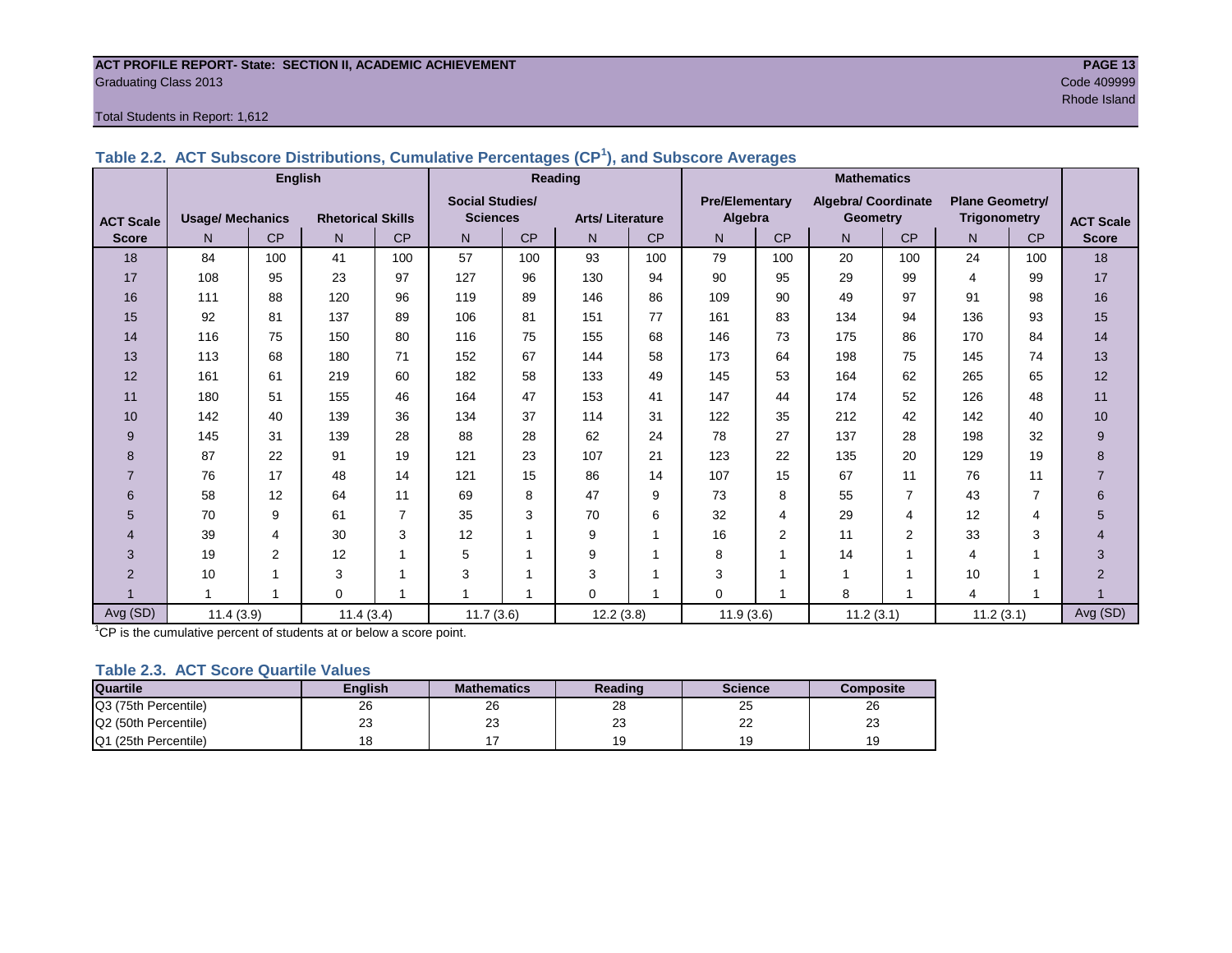#### **ACT PROFILE REPORT- State: SECTION II, ACADEMIC ACHIEVEMENT PAGE 13** Graduating Class 2013 Code 409999

#### Total Students in Report: 1,612

|                  |                         | <b>English</b> |                          |                |                         |           | Reading                |           | <b>Mathematics</b>    |                |                            |                |                        |                |                  |
|------------------|-------------------------|----------------|--------------------------|----------------|-------------------------|-----------|------------------------|-----------|-----------------------|----------------|----------------------------|----------------|------------------------|----------------|------------------|
|                  |                         |                |                          |                | <b>Social Studies/</b>  |           |                        |           | <b>Pre/Elementary</b> |                | <b>Algebra/ Coordinate</b> |                | <b>Plane Geometry/</b> |                |                  |
| <b>ACT Scale</b> | <b>Usage/ Mechanics</b> |                | <b>Rhetorical Skills</b> |                | <b>Sciences</b>         |           | <b>Arts/Literature</b> |           | Algebra               |                | <b>Geometry</b>            |                | <b>Trigonometry</b>    |                | <b>ACT Scale</b> |
| <b>Score</b>     | N.                      | <b>CP</b>      | N                        | <b>CP</b>      | N                       | <b>CP</b> | N                      | <b>CP</b> | N                     | <b>CP</b>      | N.                         | <b>CP</b>      | N <sub>1</sub>         | <b>CP</b>      | <b>Score</b>     |
| 18               | 84                      | 100            | 41                       | 100            | 57                      | 100       | 93                     | 100       | 79                    | 100            | 20                         | 100            | 24                     | 100            | 18               |
| 17               | 108                     | 95             | 23                       | 97             | 127                     | 96        | 130                    | 94        | 90                    | 95             | 29                         | 99             | 4                      | 99             | 17               |
| 16               | 111                     | 88             | 120                      | 96             | 119                     | 89        | 146                    | 86        | 109                   | 90             | 49                         | 97             | 91                     | 98             | 16               |
| 15               | 92                      | 81             | 137                      | 89             | 106                     | 81        | 151                    | 77        | 161                   | 83             | 134                        | 94             | 136                    | 93             | 15               |
| 14               | 116                     | 75             | 150                      | 80             | 116                     | 75        | 155                    | 68        | 146                   | 73             | 175                        | 86             | 170                    | 84             | 14               |
| 13               | 113                     | 68             | 180                      | 71             | 152                     | 67        | 144                    | 58        | 173                   | 64             | 198                        | 75             | 145                    | 74             | 13               |
| 12               | 161                     | 61             | 219                      | 60             | 182                     | 58        | 133                    | 49        | 145                   | 53             | 164                        | 62             | 265                    | 65             | 12               |
| 11               | 180                     | 51             | 155                      | 46             | 164                     | 47        | 153                    | 41        | 147                   | 44             | 174                        | 52             | 126                    | 48             | 11               |
| 10               | 142                     | 40             | 139                      | 36             | 134                     | 37        | 114                    | 31        | 122                   | 35             | 212                        | 42             | 142                    | 40             | 10               |
| 9                | 145                     | 31             | 139                      | 28             | 88                      | 28        | 62                     | 24        | 78                    | 27             | 137                        | 28             | 198                    | 32             | $\boldsymbol{9}$ |
| 8                | 87                      | 22             | 91                       | 19             | 121                     | 23        | 107                    | 21        | 123                   | 22             | 135                        | 20             | 129                    | 19             | 8                |
| $\overline{7}$   | 76                      | 17             | 48                       | 14             | 121                     | 15        | 86                     | 14        | 107                   | 15             | 67                         | 11             | 76                     | 11             | $\overline{7}$   |
| 6                | 58                      | 12             | 64                       | 11             | 69                      | 8         | 47                     | 9         | 73                    | 8              | 55                         | $\overline{7}$ | 43                     | $\overline{7}$ | 6                |
| 5                | 70                      | 9              | 61                       | $\overline{7}$ | 35                      | 3         | 70                     | 6         | 32                    | 4              | 29                         | 4              | 12                     | 4              | 5                |
| 4                | 39                      | $\overline{4}$ | 30                       | 3              | 12                      |           | 9                      | 1         | 16                    | $\overline{2}$ | 11                         | $\overline{2}$ | 33                     | 3              | $\overline{4}$   |
| 3                | 19                      | $\overline{2}$ | 12                       | $\mathbf 1$    | 5                       |           | 9                      |           | 8                     | 1              | 14                         | $\mathbf{1}$   | 4                      | 1              | 3                |
| $\overline{2}$   | 10                      |                | 3                        | -1             | 3                       |           | 3                      |           | 3                     |                | 1                          | 1              | 10                     | 1              | $\overline{2}$   |
|                  | 1                       | $\overline{ }$ | $\mathbf 0$              | $\mathbf{1}$   | $\overline{\mathbf{A}}$ |           | $\mathbf 0$            | 1         | $\mathbf 0$           | 4              | 8                          | 1              | 4                      | 1              |                  |
| Avg (SD)         | 11.4(3.9)               |                | 11.4(3.4)                |                | 11.7(3.6)               |           | 12.2(3.8)              |           | 11.9(3.6)             |                | 11.2(3.1)                  |                | 11.2(3.1)              |                | Avg (SD)         |

**Table 2.2. ACT Subscore Distributions, Cumulative Percentages (CP<sup>1</sup> ), and Subscore Averages**

 $1^{\circ}$ CP is the cumulative percent of students at or below a score point.

#### **Table 2.3. ACT Score Quartile Values**

| <b>Quartile</b>      | Enalish | <b>Mathematics</b> | Reading   | <b>Science</b> | Composite |
|----------------------|---------|--------------------|-----------|----------------|-----------|
| Q3 (75th Percentile) | 26      | 26                 | 28        | 25             | 26        |
| Q2 (50th Percentile) | 23      | $\sim$<br>د∠       | n n<br>دے | nn<br>--       | nn<br>ںے  |
| Q1 (25th Percentile) | 18      |                    |           | 19             |           |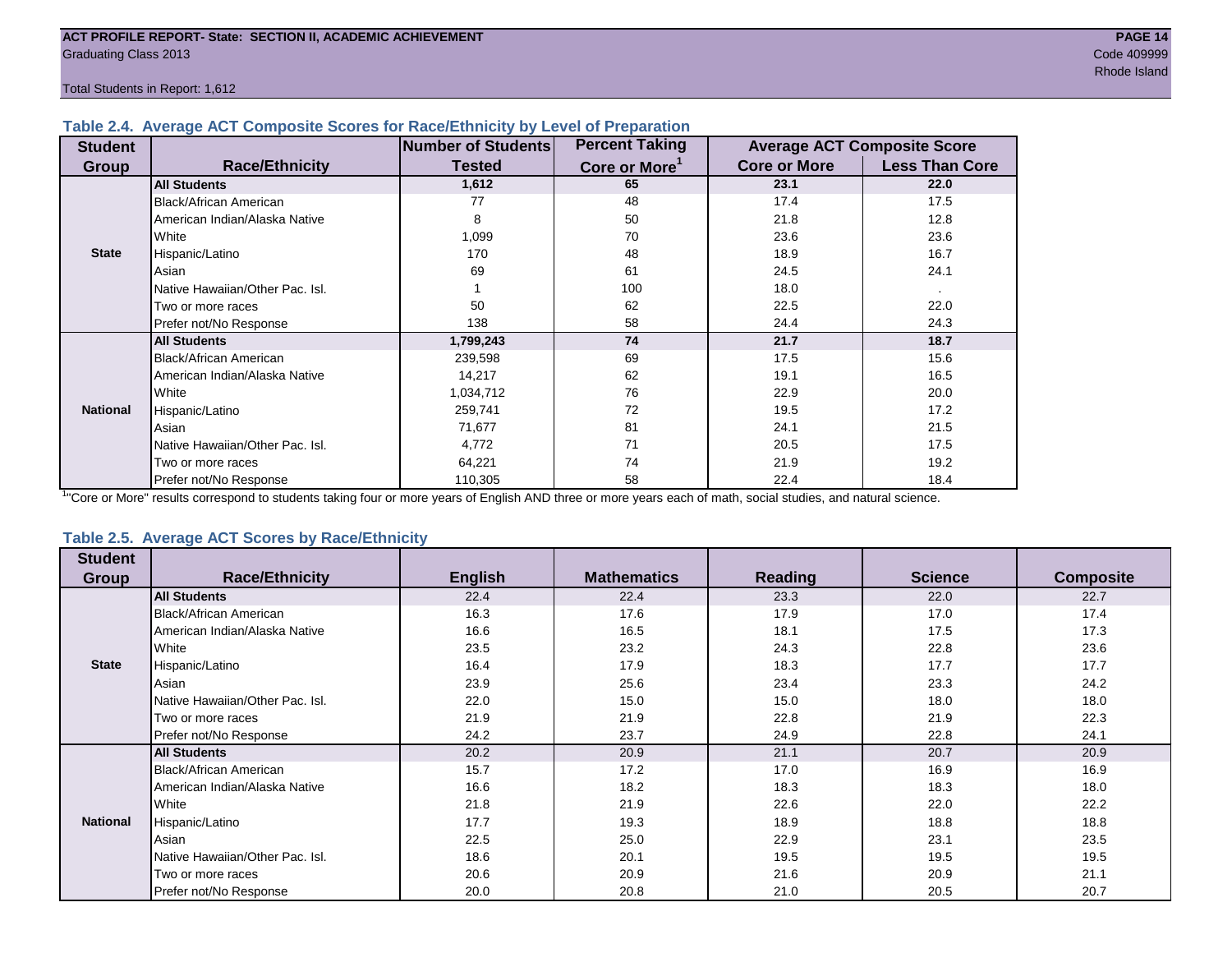Total Students in Report: 1,612

#### **Table 2.4. Average ACT Composite Scores for Race/Ethnicity by Level of Preparation**

| <b>Student</b>  |                                 | <b>Number of Students</b> | <b>Percent Taking</b>     |                     | <b>Average ACT Composite Score</b> |
|-----------------|---------------------------------|---------------------------|---------------------------|---------------------|------------------------------------|
| <b>Group</b>    | <b>Race/Ethnicity</b>           | <b>Tested</b>             | Core or More <sup>1</sup> | <b>Core or More</b> | <b>Less Than Core</b>              |
|                 | <b>All Students</b>             | 1,612                     | 65                        | 23.1                | 22.0                               |
|                 | Black/African American          | 77                        | 48                        | 17.4                | 17.5                               |
|                 | American Indian/Alaska Native   | 8                         | 50                        | 21.8                | 12.8                               |
|                 | White                           | 1,099                     | 70                        | 23.6                | 23.6                               |
| <b>State</b>    | Hispanic/Latino                 | 170                       | 48                        | 18.9                | 16.7                               |
|                 | Asian                           | 69                        | 61                        | 24.5                | 24.1                               |
|                 | Native Hawaiian/Other Pac. Isl. |                           | 100                       | 18.0                |                                    |
|                 | Two or more races               | 50                        | 62                        | 22.5                | 22.0                               |
|                 | Prefer not/No Response          | 138                       | 58                        | 24.4                | 24.3                               |
|                 | <b>All Students</b>             | 1,799,243                 | 74                        | 21.7                | 18.7                               |
|                 | Black/African American          | 239,598                   | 69                        | 17.5                | 15.6                               |
|                 | American Indian/Alaska Native   | 14,217                    | 62                        | 19.1                | 16.5                               |
|                 | <b>I</b> White                  | 1,034,712                 | 76                        | 22.9                | 20.0                               |
| <b>National</b> | Hispanic/Latino                 | 259,741                   | 72                        | 19.5                | 17.2                               |
|                 | Asian                           | 71,677                    | 81                        | 24.1                | 21.5                               |
|                 | Native Hawaiian/Other Pac. Isl. | 4,772                     | 71                        | 20.5                | 17.5                               |
|                 | Two or more races               | 64,221                    | 74                        | 21.9                | 19.2                               |
|                 | Prefer not/No Response          | 110,305                   | 58                        | 22.4                | 18.4                               |

<sup>1</sup>"Core or More" results correspond to students taking four or more years of English AND three or more years each of math, social studies, and natural science.

#### **Table 2.5. Average ACT Scores by Race/Ethnicity**

| <b>Student</b>  |                                 |                |                    |         |                |                  |
|-----------------|---------------------------------|----------------|--------------------|---------|----------------|------------------|
| Group           | <b>Race/Ethnicity</b>           | <b>English</b> | <b>Mathematics</b> | Reading | <b>Science</b> | <b>Composite</b> |
|                 | <b>All Students</b>             | 22.4           | 22.4               | 23.3    | 22.0           | 22.7             |
|                 | Black/African American          | 16.3           | 17.6               | 17.9    | 17.0           | 17.4             |
|                 | American Indian/Alaska Native   | 16.6           | 16.5               | 18.1    | 17.5           | 17.3             |
|                 | White                           | 23.5           | 23.2               | 24.3    | 22.8           | 23.6             |
| <b>State</b>    | Hispanic/Latino                 | 16.4           | 17.9               | 18.3    | 17.7           | 17.7             |
|                 | Asian                           | 23.9           | 25.6               | 23.4    | 23.3           | 24.2             |
|                 | Native Hawaiian/Other Pac. Isl. | 22.0           | 15.0               | 15.0    | 18.0           | 18.0             |
|                 | Two or more races               | 21.9           | 21.9               | 22.8    | 21.9           | 22.3             |
|                 | Prefer not/No Response          | 24.2           | 23.7               | 24.9    | 22.8           | 24.1             |
|                 | <b>All Students</b>             | 20.2           | 20.9               | 21.1    | 20.7           | 20.9             |
|                 | Black/African American          | 15.7           | 17.2               | 17.0    | 16.9           | 16.9             |
|                 | American Indian/Alaska Native   | 16.6           | 18.2               | 18.3    | 18.3           | 18.0             |
|                 | White                           | 21.8           | 21.9               | 22.6    | 22.0           | 22.2             |
| <b>National</b> | Hispanic/Latino                 | 17.7           | 19.3               | 18.9    | 18.8           | 18.8             |
|                 | Asian                           | 22.5           | 25.0               | 22.9    | 23.1           | 23.5             |
|                 | Native Hawaiian/Other Pac. Isl. | 18.6           | 20.1               | 19.5    | 19.5           | 19.5             |
|                 | Two or more races               | 20.6           | 20.9               | 21.6    | 20.9           | 21.1             |
|                 | Prefer not/No Response          | 20.0           | 20.8               | 21.0    | 20.5           | 20.7             |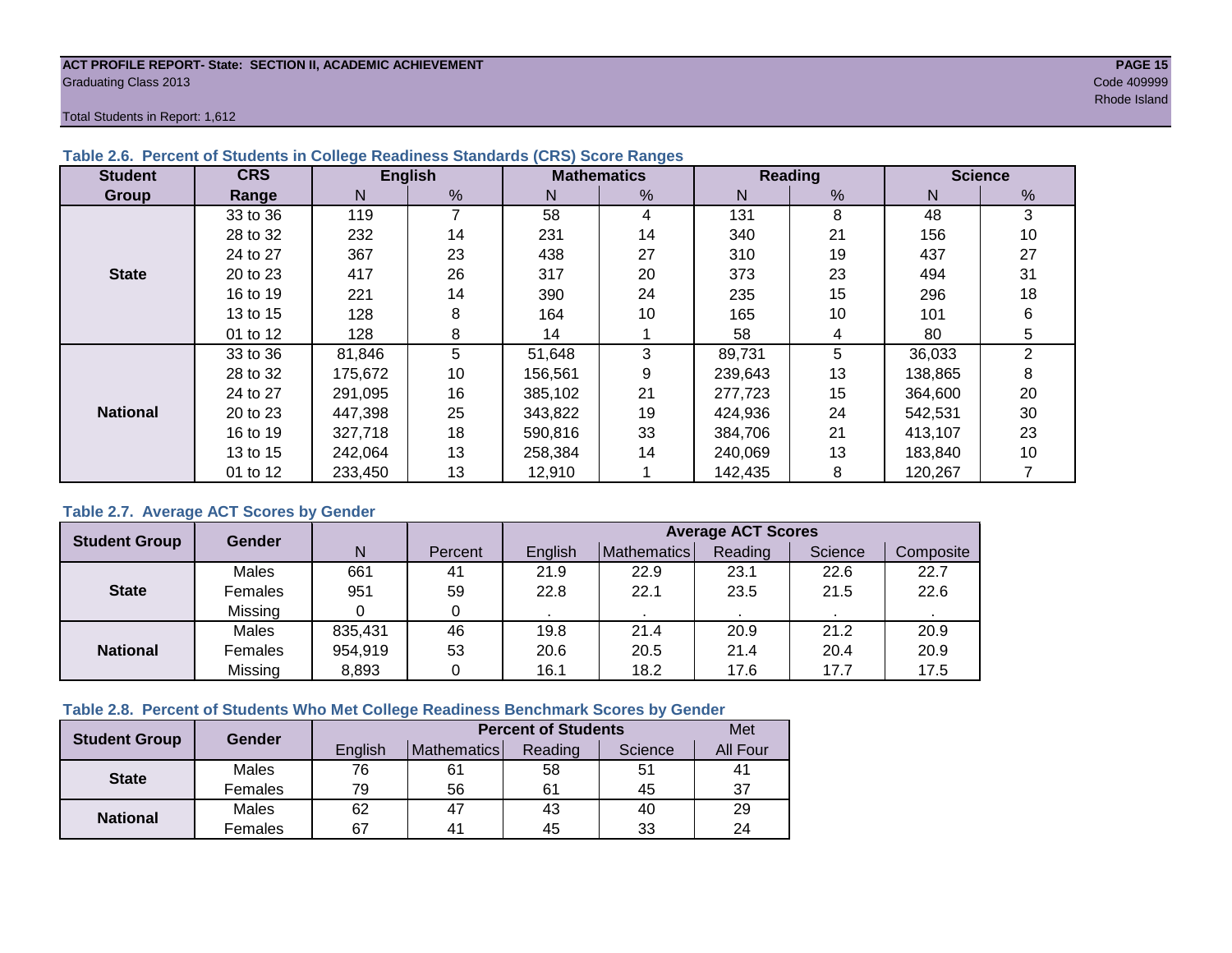#### **ACT PROFILE REPORT- State: SECTION II, ACADEMIC ACHIEVEMENT PAGE 15** Graduating Class 2013 Code 409999

results and the control of the control of the control of the control of the control of the control of the control of the control of the control of the control of the control of the control of the control of the control of

Total Students in Report: 1,612

| <b>Student</b>  | <b>CRS</b> |         | <b>English</b> |         | <b>Mathematics</b> |         | <b>Reading</b> |         | <b>Science</b> |
|-----------------|------------|---------|----------------|---------|--------------------|---------|----------------|---------|----------------|
| Group           | Range      | N       | %              | N       | %                  | N       | $\frac{9}{6}$  | N       | $\frac{0}{0}$  |
|                 | 33 to 36   | 119     | 7              | 58      | 4                  | 131     | 8              | 48      | 3              |
|                 | 28 to 32   | 232     | 14             | 231     | 14                 | 340     | 21             | 156     | 10             |
|                 | 24 to 27   | 367     | 23             | 438     | 27                 | 310     | 19             | 437     | 27             |
| <b>State</b>    | 20 to 23   | 417     | 26             | 317     | 20                 | 373     | 23             | 494     | 31             |
|                 | 16 to 19   | 221     | 14             | 390     | 24                 | 235     | 15             | 296     | 18             |
|                 | 13 to 15   | 128     | 8              | 164     | 10                 | 165     | 10             | 101     | 6              |
|                 | 01 to 12   | 128     | 8              | 14      |                    | 58      | 4              | 80      | 5              |
|                 | 33 to 36   | 81,846  | 5              | 51,648  | 3                  | 89,731  | 5              | 36,033  | 2              |
|                 | 28 to 32   | 175,672 | 10             | 156,561 | 9                  | 239,643 | 13             | 138,865 | 8              |
|                 | 24 to 27   | 291.095 | 16             | 385,102 | 21                 | 277.723 | 15             | 364,600 | 20             |
| <b>National</b> | 20 to 23   | 447,398 | 25             | 343,822 | 19                 | 424,936 | 24             | 542,531 | 30             |
|                 | 16 to 19   | 327,718 | 18             | 590,816 | 33                 | 384,706 | 21             | 413,107 | 23             |
|                 | 13 to 15   | 242,064 | 13             | 258,384 | 14                 | 240,069 | 13             | 183,840 | 10             |
|                 | 01 to 12   | 233,450 | 13             | 12,910  |                    | 142,435 | 8              | 120,267 |                |

#### **Table 2.6. Percent of Students in College Readiness Standards (CRS) Score Ranges**

#### **Table 2.7. Average ACT Scores by Gender**

| <b>Student Group</b> | <b>Gender</b> |         |         | <b>Average ACT Scores</b> |             |         |         |           |  |  |  |
|----------------------|---------------|---------|---------|---------------------------|-------------|---------|---------|-----------|--|--|--|
|                      |               | N       | Percent | Enalish                   | Mathematics | Reading | Science | Composite |  |  |  |
|                      | Males         | 661     | 41      | 21.9                      | 22.9        | 23.1    | 22.6    | 22.7      |  |  |  |
| <b>State</b>         | Females       | 951     | 59      | 22.8                      | 22.1        | 23.5    | 21.5    | 22.6      |  |  |  |
|                      | Missing       |         | 0       |                           |             |         |         |           |  |  |  |
|                      | Males         | 835,431 | 46      | 19.8                      | 21.4        | 20.9    | 21.2    | 20.9      |  |  |  |
| <b>National</b>      | Females       | 954,919 | 53      | 20.6                      | 20.5        | 21.4    | 20.4    | 20.9      |  |  |  |
|                      | Missing       | 8,893   | 0       | 16.1                      | 18.2        | 17.6    | 17.7    | 17.5      |  |  |  |

#### **Table 2.8. Percent of Students Who Met College Readiness Benchmark Scores by Gender**

| <b>Student Group</b> | Gender       |         | Met                |         |         |          |
|----------------------|--------------|---------|--------------------|---------|---------|----------|
|                      |              | English | <b>Mathematics</b> | Reading | Science | All Four |
| <b>State</b>         | Males        | 76      | 61                 | 58      | 51      | 41       |
|                      | Females      | 79      | 56                 | 61      | 45      | 37       |
|                      | <b>Males</b> | 62      | 47                 | 43      | 40      | 29       |
| <b>National</b>      | Females      | 67      | 4 <sup>1</sup>     | 45      | 33      | 24       |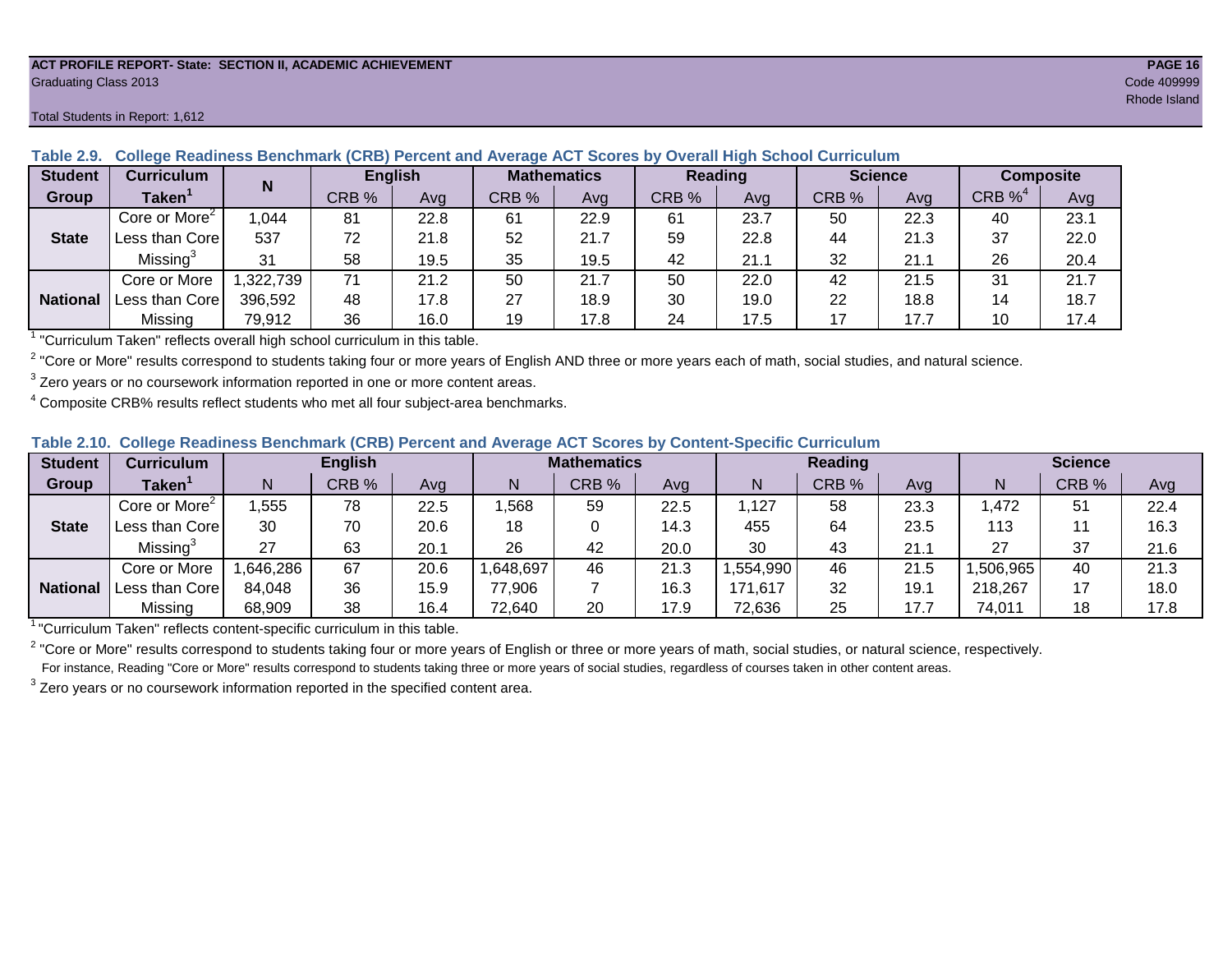#### **ACT PROFILE REPORT- State: SECTION II, ACADEMIC ACHIEVEMENT PAGE 16** Graduating Class 2013 Code 409999

#### Total Students in Report: 1,612

| <b>Student</b>  | <b>Curriculum</b>         | N        | <b>English</b> |      | <b>Mathematics</b> |      | <b>Reading</b> |      | <b>Science</b> |      | Composite             |      |
|-----------------|---------------------------|----------|----------------|------|--------------------|------|----------------|------|----------------|------|-----------------------|------|
| Group           | <b>Taken</b>              |          | CRB %          | Avg  | CRB %              | Avg  | CRB %          | Avg  | CRB %          | Avg  | $CRB \%$ <sup>4</sup> | Avg  |
|                 | Core or More <sup>2</sup> | ,044     | 81             | 22.8 | 61                 | 22.9 | 61             | 23.7 | 50             | 22.3 | 40                    | 23.1 |
| <b>State</b>    | Less than Core            | 537      | 72             | 21.8 | 52                 | 21.7 | 59             | 22.8 | 44             | 21.3 | 37                    | 22.0 |
|                 | Missing <sup>3</sup>      | 31       | 58             | 19.5 | 35                 | 19.5 | 42             | 21.1 | 32             | 21.1 | 26                    | 20.4 |
|                 | Core or More              | ,322,739 | 71             | 21.2 | 50                 | 21.7 | 50             | 22.0 | 42             | 21.5 | 31                    | 21.7 |
| <b>National</b> | Less than Core            | 396,592  | 48             | 17.8 | 27                 | 18.9 | 30             | 19.0 | 22             | 18.8 | 14                    | 18.7 |
|                 | Missing                   | 79,912   | 36             | 16.0 | 19                 | 17.8 | 24             | 17.5 | 17             | 17.7 | 10                    | 17.4 |

**Table 2.9. College Readiness Benchmark (CRB) Percent and Average ACT Scores by Overall High School Curriculum**

1 "Curriculum Taken" reflects overall high school curriculum in this table.

 $^2$  "Core or More" results correspond to students taking four or more years of English AND three or more years each of math, social studies, and natural science.

 $3$  Zero years or no coursework information reported in one or more content areas.

 $4$  Composite CRB% results reflect students who met all four subject-area benchmarks.

|  |  |  |  |  | Table 2.10. College Readiness Benchmark (CRB) Percent and Average ACT Scores by Content-Specific Curriculum |
|--|--|--|--|--|-------------------------------------------------------------------------------------------------------------|
|--|--|--|--|--|-------------------------------------------------------------------------------------------------------------|

| <b>Student</b>  | Curriculum                    |          | <b>English</b> |      |          | <b>Mathematics</b> |      |          | <b>Reading</b> |      |          | <b>Science</b> |      |  |
|-----------------|-------------------------------|----------|----------------|------|----------|--------------------|------|----------|----------------|------|----------|----------------|------|--|
| Group           | $\mathsf{Taken}^{\mathsf{T}}$ |          | CRB %          | Avg  | N        | CRB %              | Avg  | N        | CRB %          | Avg  | N        | CRB %          | Avg  |  |
|                 | Core or More <sup>2</sup>     | ,555     | 78             | 22.5 | ,568     | 59                 | 22.5 | ,127     | 58             | 23.3 | ,472     | 51             | 22.4 |  |
| <b>State</b>    | Less than Corel               | 30       | 70             | 20.6 | 18       |                    | 14.3 | 455      | 64             | 23.5 | 113      |                | 16.3 |  |
|                 | Missing <sup>3</sup>          | 27       | 63             | 20.1 | 26       | 42                 | 20.0 | 30       | 43             | 21.7 | 27       | 37             | 21.6 |  |
|                 | Core or More                  | .646,286 | 67             | 20.6 | ,648,697 | 46                 | 21.3 | ,554,990 | 46             | 21.5 | ,506,965 | 40             | 21.3 |  |
| <b>National</b> | Less than Core                | 84,048   | 36             | 15.9 | 77,906   |                    | 16.3 | 171,617  | 32             | 19.7 | 218,267  |                | 18.0 |  |
|                 | Missing                       | 68,909   | 38             | 16.4 | 72,640   | 20                 | 17.9 | 72,636   | 25             | 17.7 | 74,011   | 18             | 17.8 |  |

<sup>1</sup>"Curriculum Taken" reflects content-specific curriculum in this table.

<sup>2</sup> "Core or More" results correspond to students taking four or more years of English or three or more years of math, social studies, or natural science, respectively. For instance, Reading "Core or More" results correspond to students taking three or more years of social studies, regardless of courses taken in other content areas.

 $3$  Zero years or no coursework information reported in the specified content area.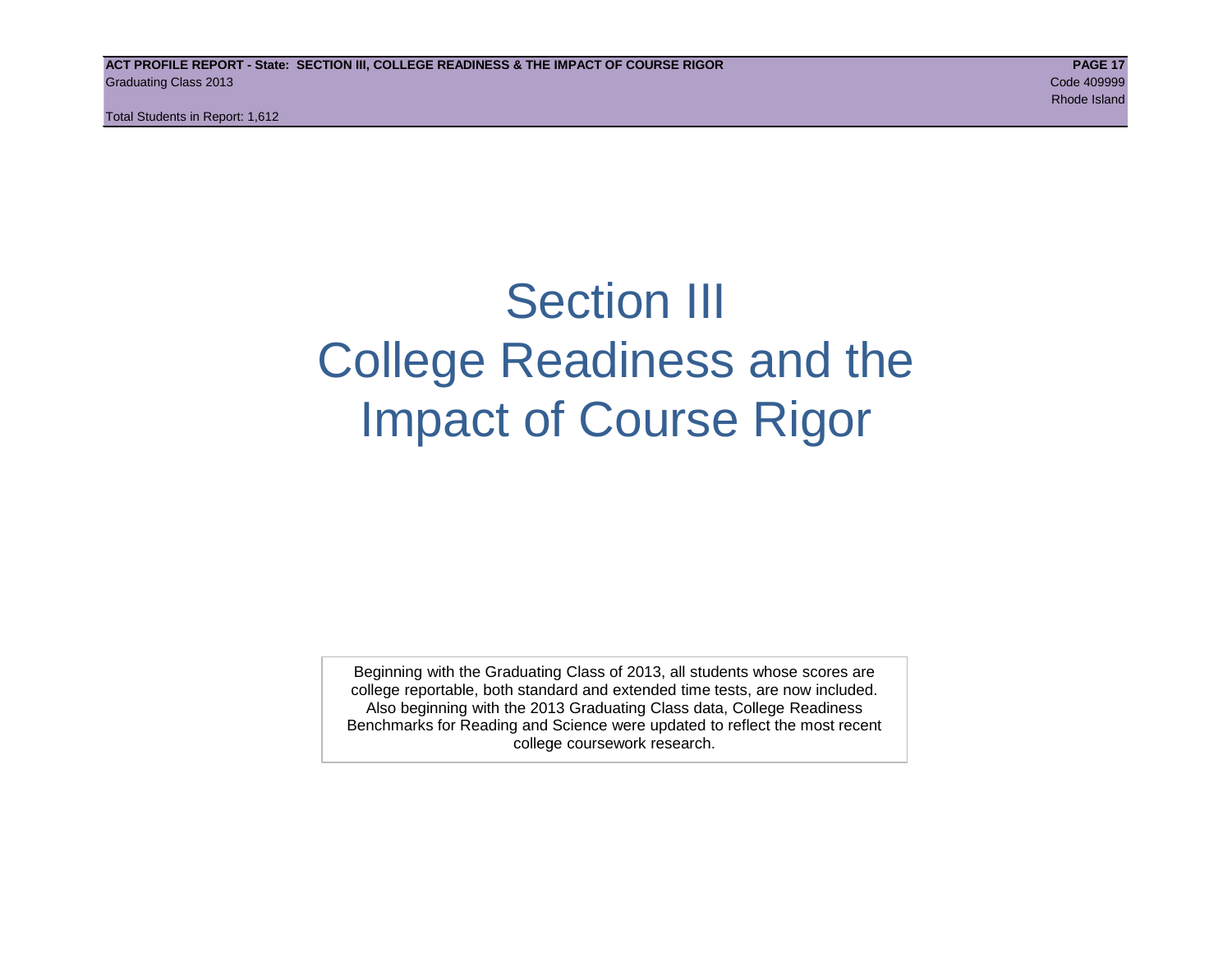Total Students in Report: 1,612

# Section III College Readiness and the Impact of Course Rigor

Beginning with the Graduating Class of 2013, all students whose scores are college reportable, both standard and extended time tests, are now included. Also beginning with the 2013 Graduating Class data, College Readiness Benchmarks for Reading and Science were updated to reflect the most recent college coursework research.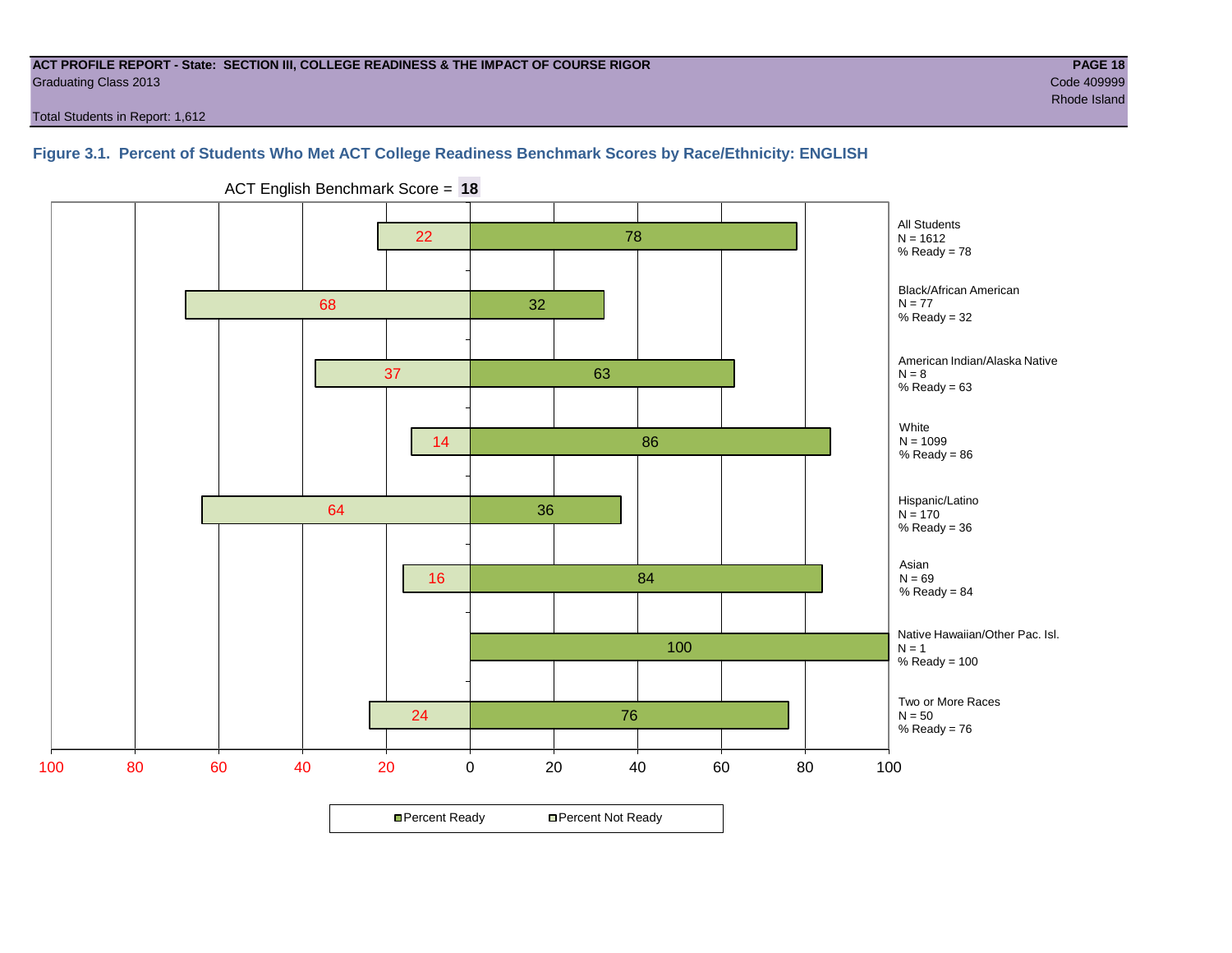#### **ACT PROFILE REPORT - State: SECTION III, COLLEGE READINESS & THE IMPACT OF COURSE RIGOR PAGE 18** Graduating Class 2013 Code 409999

Total Students in Report: 1,612

### **Figure 3.1. Percent of Students Who Met ACT College Readiness Benchmark Scores by Race/Ethnicity: ENGLISH**



ACT English Benchmark Score = **18**

**□ Percent Ready DPercent Not Ready**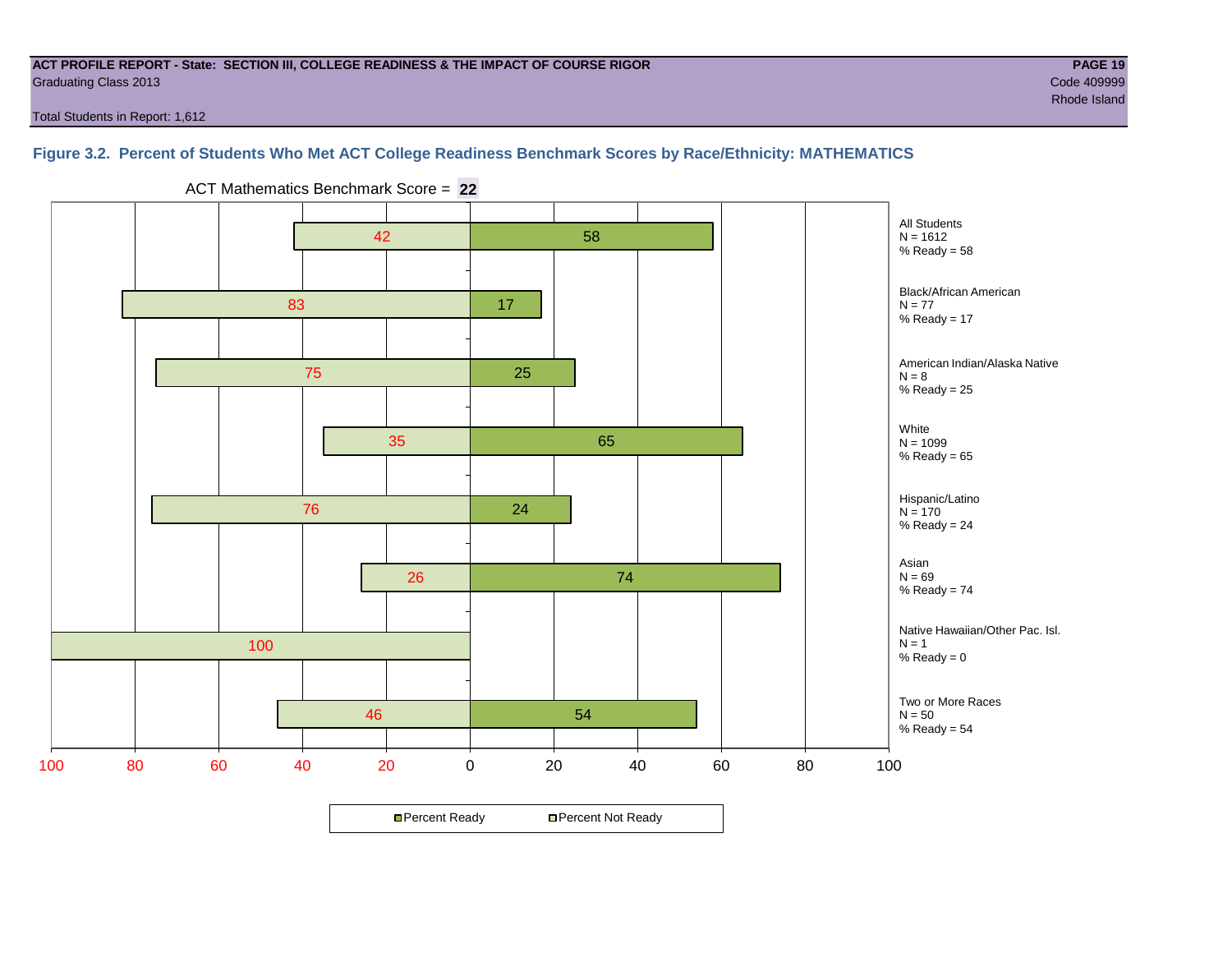#### **ACT PROFILE REPORT - State: SECTION III, COLLEGE READINESS & THE IMPACT OF COURSE RIGOR PAGE 19** Graduating Class 2013 Code 409999

Total Students in Report: 1,612

# **Figure 3.2. Percent of Students Who Met ACT College Readiness Benchmark Scores by Race/Ethnicity: MATHEMATICS**



ACT Mathematics Benchmark Score = **22**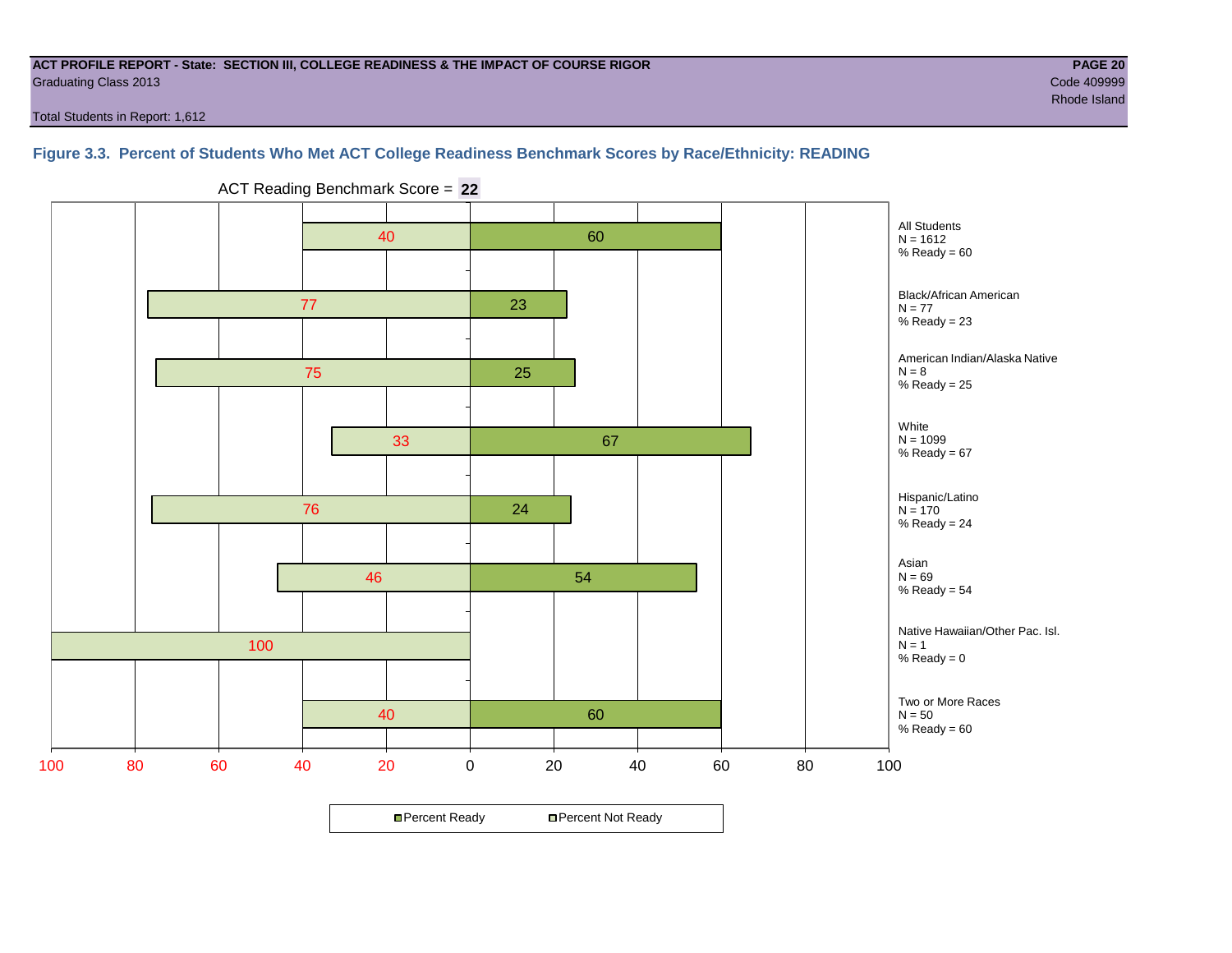#### **ACT PROFILE REPORT - State: SECTION III, COLLEGE READINESS & THE IMPACT OF COURSE RIGOR PAGE 20** Graduating Class 2013 Code 409999

Total Students in Report: 1,612

**Figure 3.3. Percent of Students Who Met ACT College Readiness Benchmark Scores by Race/Ethnicity: READING**



ACT Reading Benchmark Score = **22**

**□ Percent Ready DPercent Not Ready**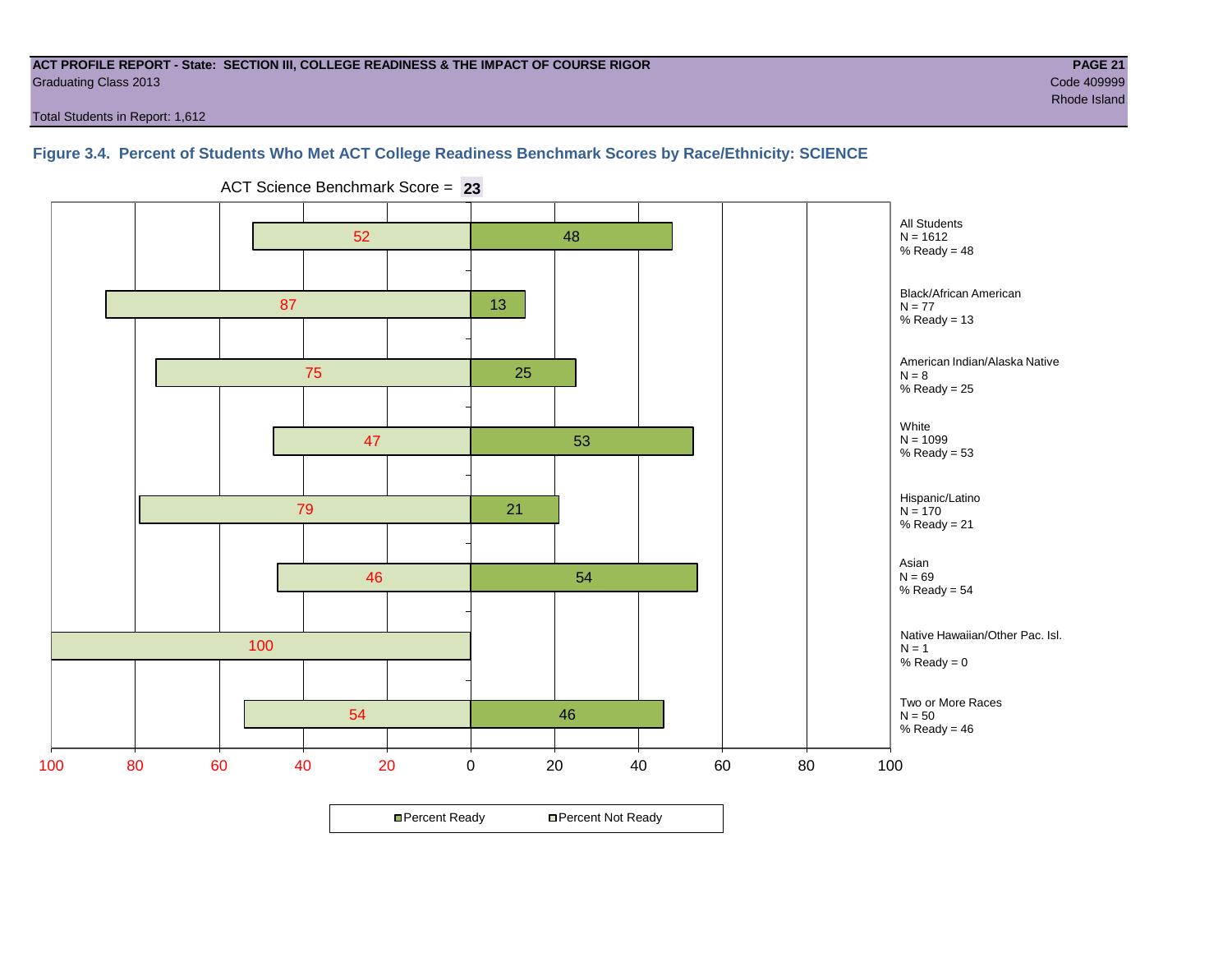#### **ACT PROFILE REPORT - State: SECTION III, COLLEGE READINESS & THE IMPACT OF COURSE RIGOR PAGE 21** Graduating Class 2013 Code 409999

Total Students in Report: 1,612

#### **Figure 3.4. Percent of Students Who Met ACT College Readiness Benchmark Scores by Race/Ethnicity: SCIENCE**



ACT Science Benchmark Score = **23**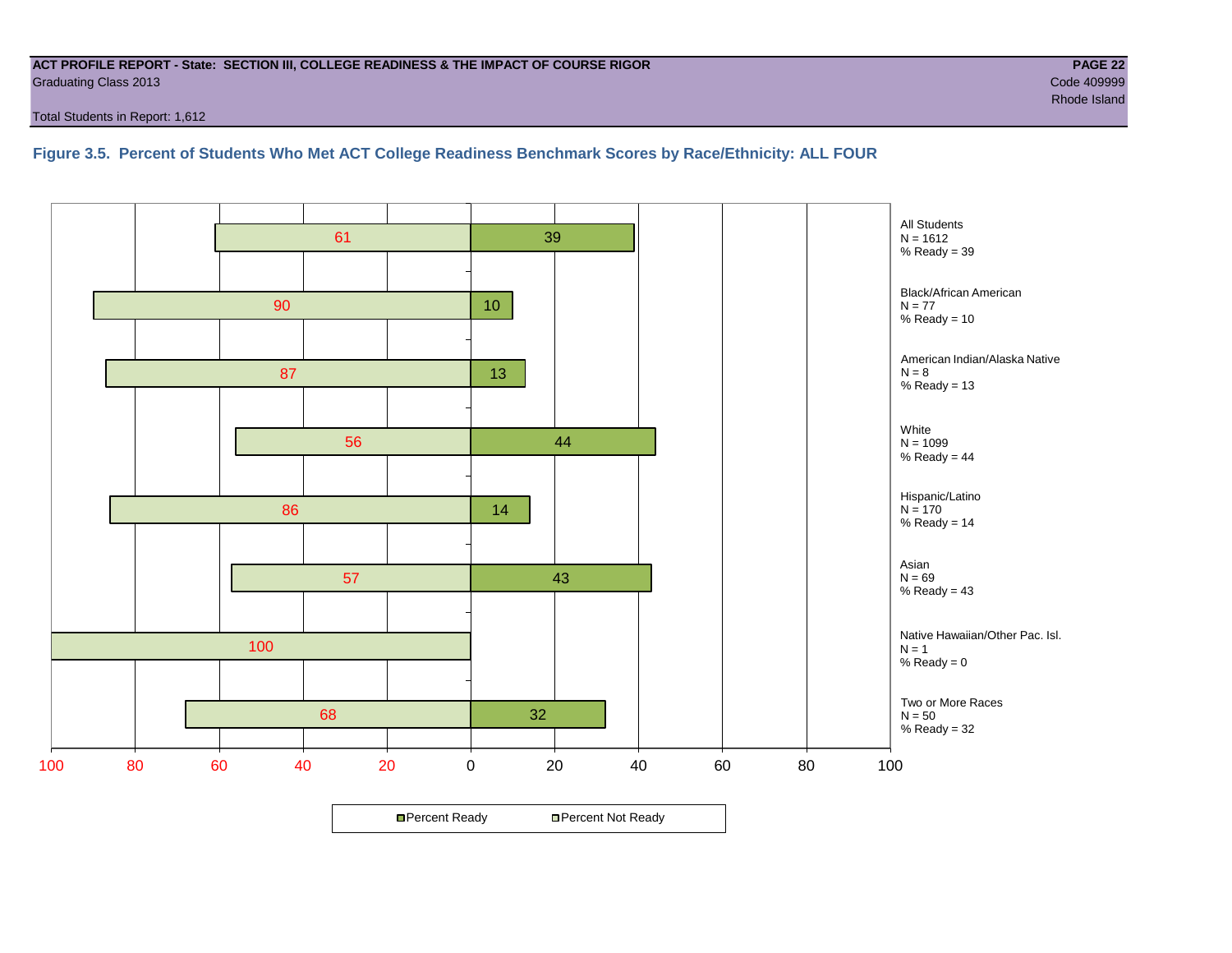#### **ACT PROFILE REPORT - State: SECTION III, COLLEGE READINESS & THE IMPACT OF COURSE RIGOR PAGE 22** Graduating Class 2013 Code 409999

Total Students in Report: 1,612

**Figure 3.5. Percent of Students Who Met ACT College Readiness Benchmark Scores by Race/Ethnicity: ALL FOUR**

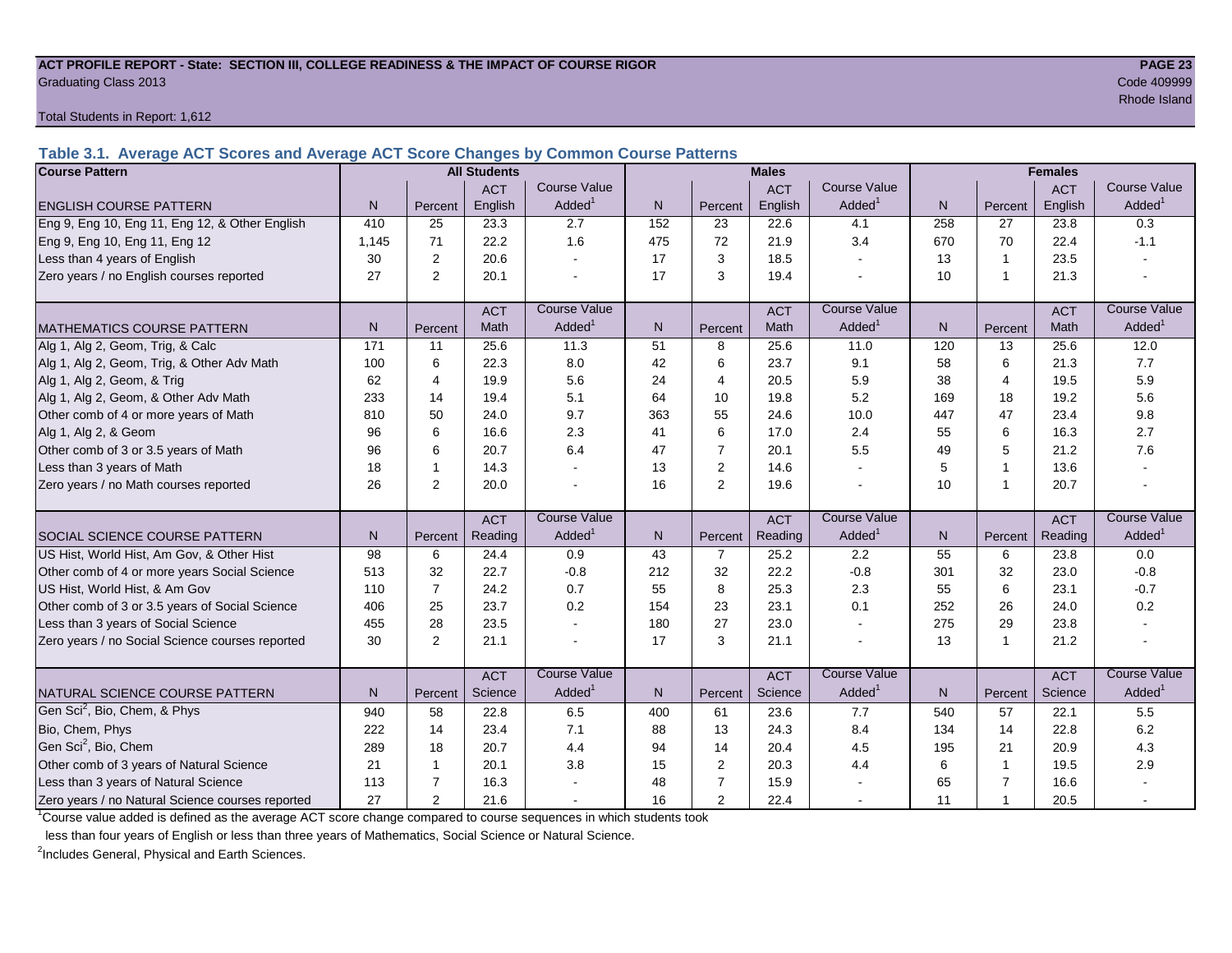#### **ACT PROFILE REPORT - State: SECTION III, COLLEGE READINESS & THE IMPACT OF COURSE RIGOR PAGE 23** Graduating Class 2013 Code 409999

Total Students in Report: 1,612

**Table 3.1. Average ACT Scores and Average ACT Score Changes by Common Course Patterns**

| <b>Course Pattern</b>                            |                 |                | <b>All Students</b> |                     |     |                | <b>Males</b> |                     |              | <b>Females</b>          |            |                        |
|--------------------------------------------------|-----------------|----------------|---------------------|---------------------|-----|----------------|--------------|---------------------|--------------|-------------------------|------------|------------------------|
|                                                  |                 |                | <b>ACT</b>          | <b>Course Value</b> |     |                | <b>ACT</b>   | <b>Course Value</b> |              |                         | <b>ACT</b> | <b>Course Value</b>    |
| <b>ENGLISH COURSE PATTERN</b>                    | N               | Percent        | English             | Added               | N.  | Percent        | English      | Added               | N            | Percent                 | English    | A d d e d <sup>1</sup> |
| Eng 9, Eng 10, Eng 11, Eng 12, & Other English   | 410             | 25             | 23.3                | 2.7                 | 152 | 23             | 22.6         | 4.1                 | 258          | 27                      | 23.8       | 0.3                    |
| Eng 9, Eng 10, Eng 11, Eng 12                    | 1,145           | 71             | 22.2                | 1.6                 | 475 | 72             | 21.9         | 3.4                 | 670          | 70                      | 22.4       | $-1.1$                 |
| Less than 4 years of English                     | 30              | 2              | 20.6                |                     | 17  | 3              | 18.5         | $\sim$              | 13           | $\mathbf{1}$            | 23.5       |                        |
| Zero years / no English courses reported         | 27              | $\overline{2}$ | 20.1                |                     | 17  | $\sqrt{3}$     | 19.4         |                     | 10           | $\overline{1}$          | 21.3       |                        |
|                                                  |                 |                | <b>ACT</b>          | <b>Course Value</b> |     |                | <b>ACT</b>   | <b>Course Value</b> |              |                         | <b>ACT</b> | <b>Course Value</b>    |
| <b>MATHEMATICS COURSE PATTERN</b>                | N               | Percent        | Math                | Added <sup>1</sup>  | N   | Percent        | Math         | Added               | $\mathsf{N}$ | Percent                 | Math       | A d d e d <sup>1</sup> |
| Alg 1, Alg 2, Geom, Trig, & Calc                 | 171             | 11             | 25.6                | 11.3                | 51  | 8              | 25.6         | 11.0                | 120          | 13                      | 25.6       | 12.0                   |
| Alg 1, Alg 2, Geom, Trig, & Other Adv Math       | 100             | 6              | 22.3                | 8.0                 | 42  | 6              | 23.7         | 9.1                 | 58           | 6                       | 21.3       | 7.7                    |
| Alg 1, Alg 2, Geom, & Trig                       | 62              | 4              | 19.9                | 5.6                 | 24  | $\overline{4}$ | 20.5         | 5.9                 | 38           | 4                       | 19.5       | 5.9                    |
| Alg 1, Alg 2, Geom, & Other Adv Math             | 233             | 14             | 19.4                | 5.1                 | 64  | 10             | 19.8         | 5.2                 | 169          | 18                      | 19.2       | 5.6                    |
| Other comb of 4 or more years of Math            | 810             | 50             | 24.0                | 9.7                 | 363 | 55             | 24.6         | 10.0                | 447          | 47                      | 23.4       | 9.8                    |
| Alg 1, Alg 2, & Geom                             | 96              | 6              | 16.6                | 2.3                 | 41  | 6              | 17.0         | 2.4                 | 55           | 6                       | 16.3       | 2.7                    |
| Other comb of 3 or 3.5 years of Math             | 96              | 6              | 20.7                | 6.4                 | 47  | $\overline{7}$ | 20.1         | 5.5                 | 49           | 5                       | 21.2       | 7.6                    |
| Less than 3 years of Math                        | 18              | $\mathbf 1$    | 14.3                |                     | 13  | $\overline{2}$ | 14.6         | $\overline{a}$      | 5            | $\overline{1}$          | 13.6       |                        |
| Zero years / no Math courses reported            | 26              | 2              | 20.0                |                     | 16  | 2              | 19.6         |                     | 10           | $\overline{\mathbf{1}}$ | 20.7       | $\sim$                 |
|                                                  |                 |                | <b>ACT</b>          | <b>Course Value</b> |     |                | <b>ACT</b>   | <b>Course Value</b> |              |                         | <b>ACT</b> | <b>Course Value</b>    |
| SOCIAL SCIENCE COURSE PATTERN                    | N <sub>1</sub>  | Percent        | Reading             | Added               | N   | Percent        | Reading      | Added               | N            | Percent                 | Reading    | A d d e d <sup>1</sup> |
| US Hist, World Hist, Am Gov, & Other Hist        | $\overline{98}$ | 6              | 24.4                | 0.9                 | 43  | $\overline{7}$ | 25.2         | 2.2                 | 55           | 6                       | 23.8       | 0.0                    |
| Other comb of 4 or more years Social Science     | 513             | 32             | 22.7                | $-0.8$              | 212 | 32             | 22.2         | $-0.8$              | 301          | 32                      | 23.0       | $-0.8$                 |
| US Hist, World Hist, & Am Gov                    | 110             | $\overline{7}$ | 24.2                | 0.7                 | 55  | 8              | 25.3         | 2.3                 | 55           | 6                       | 23.1       | $-0.7$                 |
| Other comb of 3 or 3.5 years of Social Science   | 406             | 25             | 23.7                | 0.2                 | 154 | 23             | 23.1         | 0.1                 | 252          | 26                      | 24.0       | 0.2                    |
| Less than 3 years of Social Science              | 455             | 28             | 23.5                |                     | 180 | 27             | 23.0         |                     | 275          | 29                      | 23.8       |                        |
| Zero years / no Social Science courses reported  | 30              | $\overline{2}$ | 21.1                |                     | 17  | $\sqrt{3}$     | 21.1         | $\blacksquare$      | 13           | $\overline{1}$          | 21.2       |                        |
|                                                  |                 |                | <b>ACT</b>          | <b>Course Value</b> |     |                | <b>ACT</b>   | <b>Course Value</b> |              |                         | <b>ACT</b> | <b>Course Value</b>    |
| NATURAL SCIENCE COURSE PATTERN                   | N <sub>1</sub>  | Percent        | Science             | Added               | N   | Percent        | Science      | Added               | N            | Percent                 | Science    | A d d e d <sup>1</sup> |
| Gen Sci <sup>2</sup> , Bio, Chem, & Phys         | 940             | 58             | 22.8                | 6.5                 | 400 | 61             | 23.6         | 7.7                 | 540          | 57                      | 22.1       | 5.5                    |
| Bio, Chem, Phys                                  | 222             | 14             | 23.4                | 7.1                 | 88  | 13             | 24.3         | 8.4                 | 134          | 14                      | 22.8       | 6.2                    |
| Gen Sci <sup>2</sup> , Bio, Chem                 | 289             | 18             | 20.7                | 4.4                 | 94  | 14             | 20.4         | 4.5                 | 195          | 21                      | 20.9       | 4.3                    |
| Other comb of 3 years of Natural Science         | 21              | $\mathbf 1$    | 20.1                | 3.8                 | 15  | 2              | 20.3         | 4.4                 | 6            | $\overline{1}$          | 19.5       | 2.9                    |
| Less than 3 years of Natural Science             | 113             | $\overline{7}$ | 16.3                |                     | 48  | $\overline{7}$ | 15.9         |                     | 65           | $\overline{7}$          | 16.6       |                        |
| Zero years / no Natural Science courses reported | 27              | 2              | 21.6                |                     | 16  | 2              | 22.4         |                     | 11           | $\overline{\mathbf{1}}$ | 20.5       |                        |

<sup>1</sup>Course value added is defined as the average ACT score change compared to course sequences in which students took

less than four years of English or less than three years of Mathematics, Social Science or Natural Science.

<sup>2</sup>Includes General, Physical and Earth Sciences.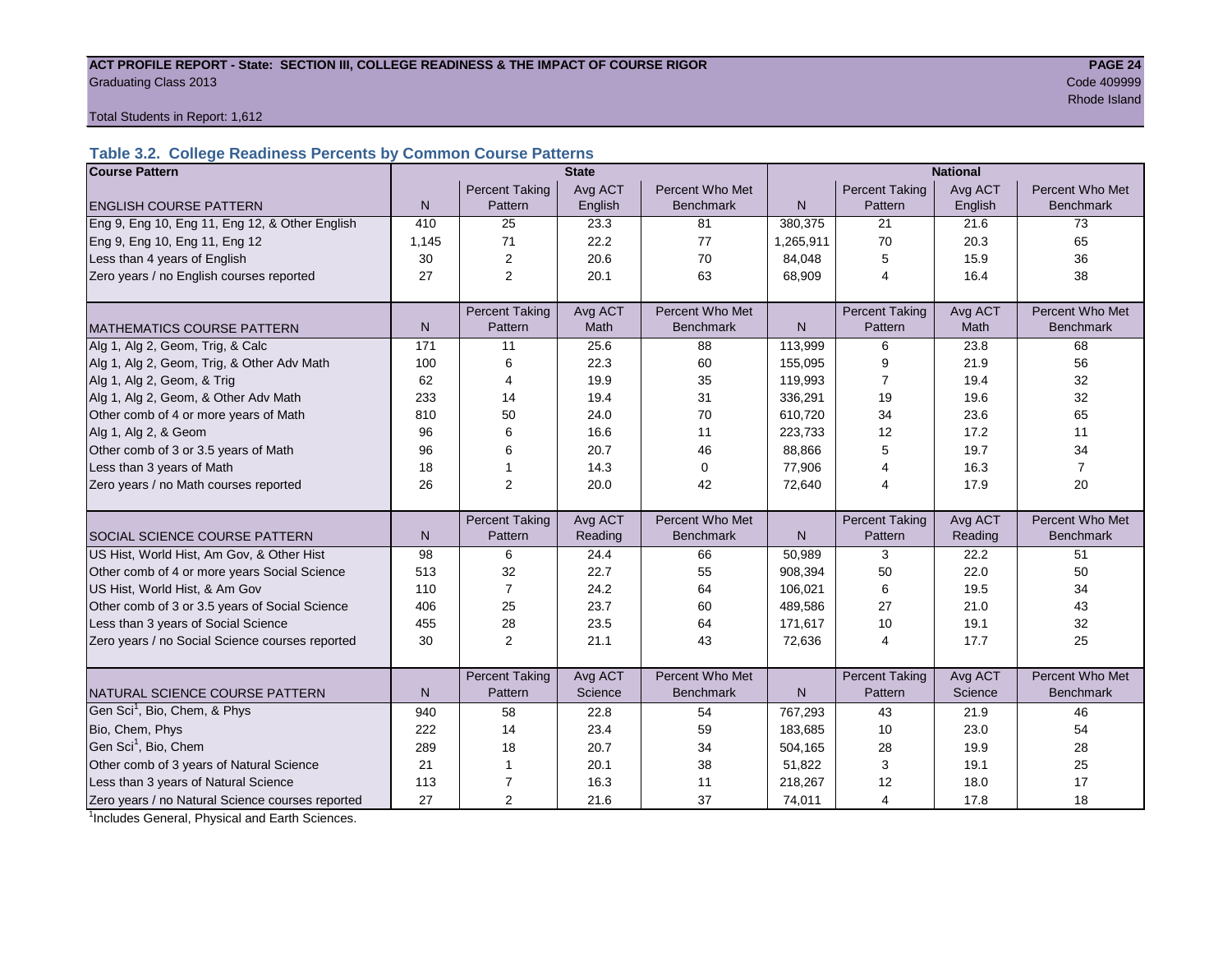#### ACT PROFILE REPORT - State: SECTION III, COLLEGE READINESS & THE IMPACT OF COURSE RIGOR **PAGE 24** Graduating Class 2013 Code 409999

results and the control of the control of the control of the control of the control of the control of the control of the control of the control of the control of the control of the control of the control of the control of

Total Students in Report: 1,612

# **Table 3.2. College Readiness Percents by Common Course Patterns**

| <b>Course Pattern</b>                            |              |                       | <b>State</b> |                  | <b>National</b> |                       |         |                  |  |
|--------------------------------------------------|--------------|-----------------------|--------------|------------------|-----------------|-----------------------|---------|------------------|--|
|                                                  |              | <b>Percent Taking</b> | Avg ACT      | Percent Who Met  |                 | <b>Percent Taking</b> | Avg ACT | Percent Who Met  |  |
| <b>ENGLISH COURSE PATTERN</b>                    | $\mathsf{N}$ | Pattern               | English      | <b>Benchmark</b> | ${\sf N}$       | Pattern               | English | <b>Benchmark</b> |  |
| Eng 9, Eng 10, Eng 11, Eng 12, & Other English   | 410          | 25                    | 23.3         | 81               | 380,375         | 21                    | 21.6    | 73               |  |
| Eng 9, Eng 10, Eng 11, Eng 12                    | 1,145        | 71                    | 22.2         | 77               | 1,265,911       | 70                    | 20.3    | 65               |  |
| Less than 4 years of English                     | 30           | $\boldsymbol{2}$      | 20.6         | 70               | 84,048          | 5                     | 15.9    | 36               |  |
| Zero years / no English courses reported         | 27           | $\overline{2}$        | 20.1         | 63               | 68,909          | 4                     | 16.4    | 38               |  |
|                                                  |              |                       |              |                  |                 |                       |         |                  |  |
|                                                  |              | <b>Percent Taking</b> | Avg ACT      | Percent Who Met  |                 | <b>Percent Taking</b> | Avg ACT | Percent Who Met  |  |
| <b>MATHEMATICS COURSE PATTERN</b>                | N            | Pattern               | <b>Math</b>  | <b>Benchmark</b> | N               | Pattern               | Math    | <b>Benchmark</b> |  |
| Alg 1, Alg 2, Geom, Trig, & Calc                 | 171          | 11                    | 25.6         | 88               | 113,999         | 6                     | 23.8    | 68               |  |
| Alg 1, Alg 2, Geom, Trig, & Other Adv Math       | 100          | 6                     | 22.3         | 60               | 155,095         | 9                     | 21.9    | 56               |  |
| Alg 1, Alg 2, Geom, & Trig                       | 62           | 4                     | 19.9         | 35               | 119,993         | 7                     | 19.4    | 32               |  |
| Alg 1, Alg 2, Geom, & Other Adv Math             | 233          | 14                    | 19.4         | 31               | 336,291         | 19                    | 19.6    | 32               |  |
| Other comb of 4 or more years of Math            | 810          | 50                    | 24.0         | 70               | 610,720         | 34                    | 23.6    | 65               |  |
| Alg 1, Alg 2, & Geom                             | 96           | 6                     | 16.6         | 11               | 223,733         | 12                    | 17.2    | 11               |  |
| Other comb of 3 or 3.5 years of Math             | 96           | 6                     | 20.7         | 46               | 88,866          | 5                     | 19.7    | 34               |  |
| Less than 3 years of Math                        | 18           |                       | 14.3         | 0                | 77,906          | 4                     | 16.3    | $\overline{7}$   |  |
| Zero years / no Math courses reported            | 26           | $\overline{2}$        | 20.0         | 42               | 72,640          | 4                     | 17.9    | 20               |  |
|                                                  |              |                       |              |                  |                 |                       |         |                  |  |
|                                                  |              | <b>Percent Taking</b> | Avg ACT      | Percent Who Met  |                 | <b>Percent Taking</b> | Avg ACT | Percent Who Met  |  |
| <b>SOCIAL SCIENCE COURSE PATTERN</b>             | N            | Pattern               | Reading      | <b>Benchmark</b> | $\mathsf{N}$    | Pattern               | Reading | <b>Benchmark</b> |  |
| US Hist, World Hist, Am Gov, & Other Hist        | 98           | 6                     | 24.4         | 66               | 50,989          | 3                     | 22.2    | 51               |  |
| Other comb of 4 or more years Social Science     | 513          | 32                    | 22.7         | 55               | 908,394         | 50                    | 22.0    | 50               |  |
| US Hist, World Hist, & Am Gov                    | 110          | $\overline{7}$        | 24.2         | 64               | 106,021         | 6                     | 19.5    | 34               |  |
| Other comb of 3 or 3.5 years of Social Science   | 406          | 25                    | 23.7         | 60               | 489,586         | 27                    | 21.0    | 43               |  |
| Less than 3 years of Social Science              | 455          | 28                    | 23.5         | 64               | 171,617         | 10                    | 19.1    | 32               |  |
| Zero years / no Social Science courses reported  | 30           | 2                     | 21.1         | 43               | 72,636          | $\overline{4}$        | 17.7    | 25               |  |
|                                                  |              |                       |              |                  |                 |                       |         |                  |  |
|                                                  |              | <b>Percent Taking</b> | Avg ACT      | Percent Who Met  |                 | <b>Percent Taking</b> | Avg ACT | Percent Who Met  |  |
| NATURAL SCIENCE COURSE PATTERN                   | N            | Pattern               | Science      | <b>Benchmark</b> | $\mathsf{N}$    | Pattern               | Science | <b>Benchmark</b> |  |
| Gen Sci <sup>1</sup> , Bio, Chem, & Phys         | 940          | 58                    | 22.8         | 54               | 767,293         | 43                    | 21.9    | 46               |  |
| Bio, Chem, Phys                                  | 222          | 14                    | 23.4         | 59               | 183,685         | 10                    | 23.0    | 54               |  |
| Gen Sci <sup>1</sup> , Bio, Chem                 | 289          | 18                    | 20.7         | 34               | 504,165         | 28                    | 19.9    | 28               |  |
| Other comb of 3 years of Natural Science         | 21           | 1                     | 20.1         | 38               | 51,822          | 3                     | 19.1    | 25               |  |
| Less than 3 years of Natural Science             | 113          | 7                     | 16.3         | 11               | 218,267         | 12                    | 18.0    | 17               |  |
| Zero years / no Natural Science courses reported | 27           | 2                     | 21.6         | 37               | 74,011          | $\overline{4}$        | 17.8    | 18               |  |

<sup>1</sup>Includes General, Physical and Earth Sciences.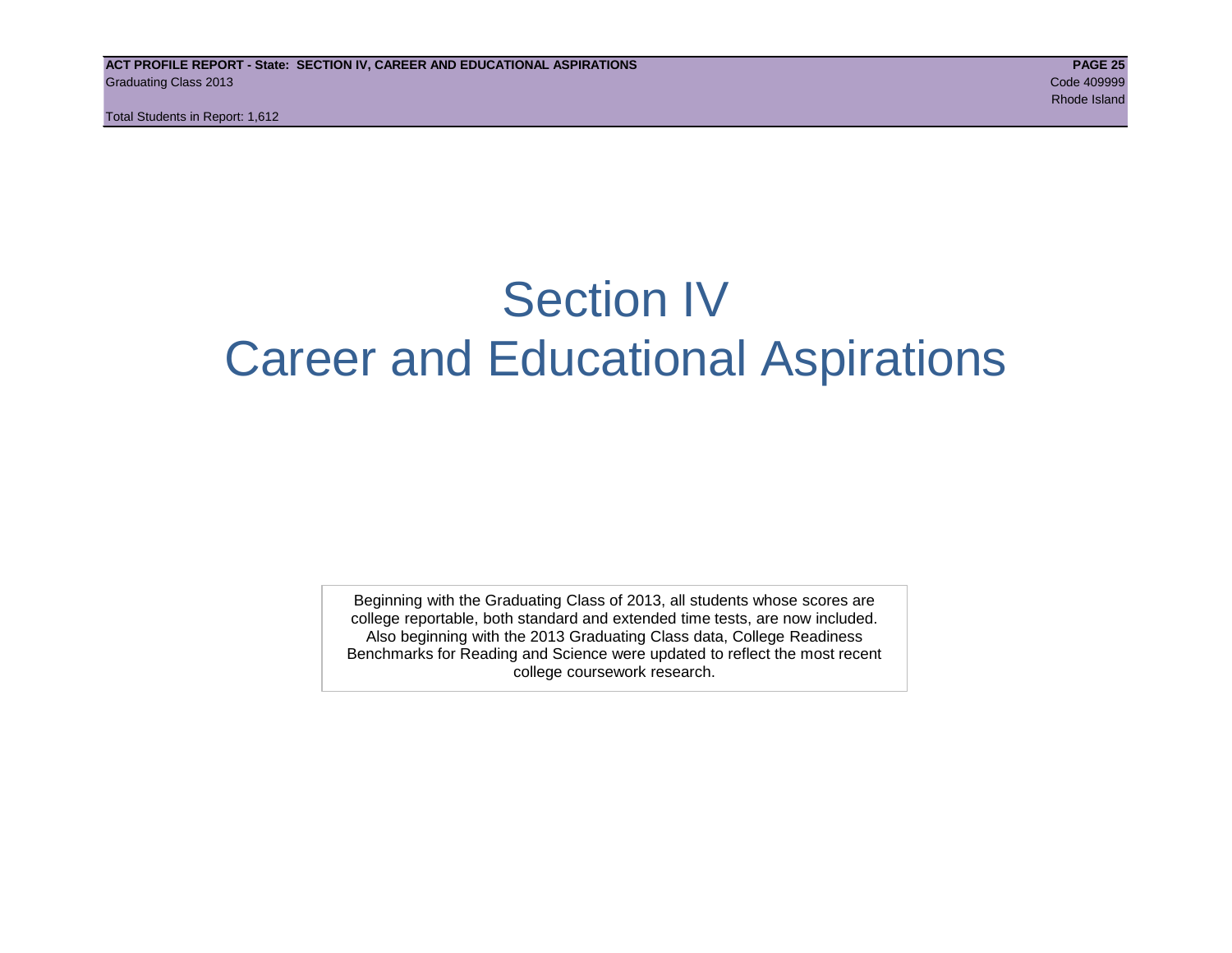Total Students in Report: 1,612

# Section IV Career and Educational Aspirations

Beginning with the Graduating Class of 2013, all students whose scores are college reportable, both standard and extended time tests, are now included. Also beginning with the 2013 Graduating Class data, College Readiness Benchmarks for Reading and Science were updated to reflect the most recent college coursework research.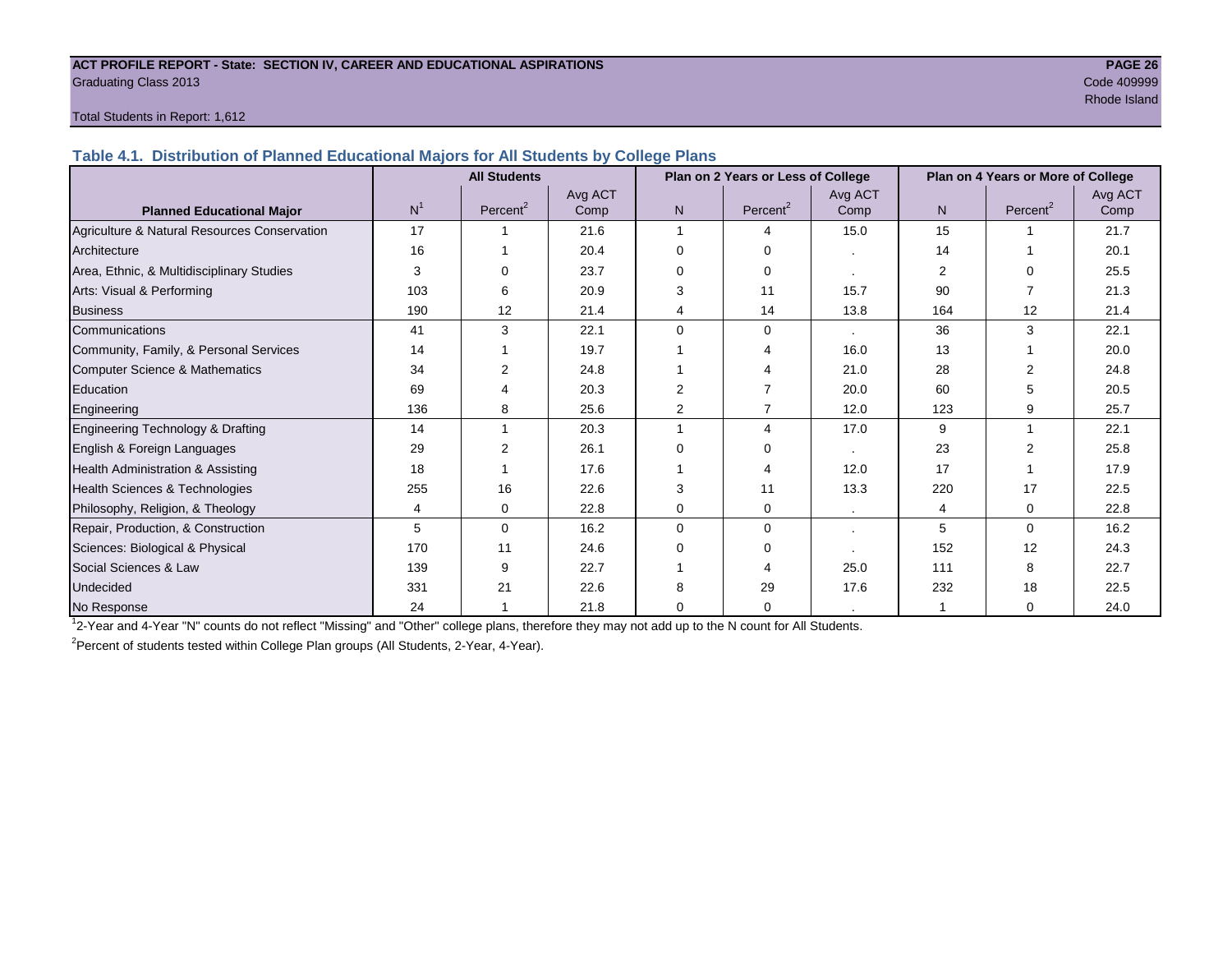#### **ACT PROFILE REPORT - State: SECTION IV, CAREER AND EDUCATIONAL ASPIRATIONS PAGE 26** Graduating Class 2013 Code 409999

# results and the control of the control of the control of the control of the control of the control of the control of the control of the control of the control of the control of the control of the control of the control of

#### Total Students in Report: 1,612

**Table 4.1. Distribution of Planned Educational Majors for All Students by College Plans**

|                                              |                | <b>All Students</b>  |                 |                | Plan on 2 Years or Less of College |                 |     | Plan on 4 Years or More of College |                 |
|----------------------------------------------|----------------|----------------------|-----------------|----------------|------------------------------------|-----------------|-----|------------------------------------|-----------------|
| <b>Planned Educational Major</b>             | N <sup>1</sup> | Percent <sup>2</sup> | Avg ACT<br>Comp | N <sub>1</sub> | Percent <sup>2</sup>               | Avg ACT<br>Comp | N.  | Percent <sup>2</sup>               | Avg ACT<br>Comp |
| Agriculture & Natural Resources Conservation | 17             |                      | 21.6            | 1              | $\boldsymbol{\Lambda}$             | 15.0            | 15  |                                    | 21.7            |
| Architecture                                 | 16             |                      | 20.4            | 0              | ∩                                  |                 | 14  |                                    | 20.1            |
| Area, Ethnic, & Multidisciplinary Studies    | 3              | ∩                    | 23.7            | 0              | $\Omega$                           |                 | 2   | ∩                                  | 25.5            |
| Arts: Visual & Performing                    | 103            | 6                    | 20.9            | 3              | 11                                 | 15.7            | 90  |                                    | 21.3            |
| <b>Business</b>                              | 190            | 12                   | 21.4            | 4              | 14                                 | 13.8            | 164 | 12                                 | 21.4            |
| Communications                               | 41             | 3                    | 22.1            | $\Omega$       | $\Omega$                           |                 | 36  | 3                                  | 22.1            |
| Community, Family, & Personal Services       | 14             |                      | 19.7            |                |                                    | 16.0            | 13  |                                    | 20.0            |
| Computer Science & Mathematics               | 34             | 2                    | 24.8            |                |                                    | 21.0            | 28  |                                    | 24.8            |
| Education                                    | 69             |                      | 20.3            | $\overline{2}$ |                                    | 20.0            | 60  |                                    | 20.5            |
| Engineering                                  | 136            | 8                    | 25.6            | $\overline{2}$ |                                    | 12.0            | 123 | 9                                  | 25.7            |
| Engineering Technology & Drafting            | 14             |                      | 20.3            |                | 4                                  | 17.0            | 9   |                                    | 22.1            |
| English & Foreign Languages                  | 29             |                      | 26.1            | $\Omega$       | ∩                                  |                 | 23  |                                    | 25.8            |
| Health Administration & Assisting            | 18             |                      | 17.6            |                |                                    | 12.0            | 17  |                                    | 17.9            |
| Health Sciences & Technologies               | 255            | 16                   | 22.6            | 3              | 11                                 | 13.3            | 220 | 17                                 | 22.5            |
| Philosophy, Religion, & Theology             | 4              | 0                    | 22.8            | 0              | $\Omega$                           | $\sim$          | 4   | 0                                  | 22.8            |
| Repair, Production, & Construction           | 5              | $\mathbf 0$          | 16.2            | $\Omega$       | $\Omega$                           |                 | 5   | $\Omega$                           | 16.2            |
| Sciences: Biological & Physical              | 170            | 11                   | 24.6            | 0              | ∩                                  |                 | 152 | 12                                 | 24.3            |
| Social Sciences & Law                        | 139            | 9                    | 22.7            |                |                                    | 25.0            | 111 | 8                                  | 22.7            |
| Undecided                                    | 331            | 21                   | 22.6            | 8              | 29                                 | 17.6            | 232 | 18                                 | 22.5            |
| No Response                                  | 24             |                      | 21.8            | 0              | 0                                  |                 |     | $\Omega$                           | 24.0            |

1 2-Year and 4-Year "N" counts do not reflect "Missing" and "Other" college plans, therefore they may not add up to the N count for All Students.

<sup>2</sup> Percent of students tested within College Plan groups (All Students, 2-Year, 4-Year).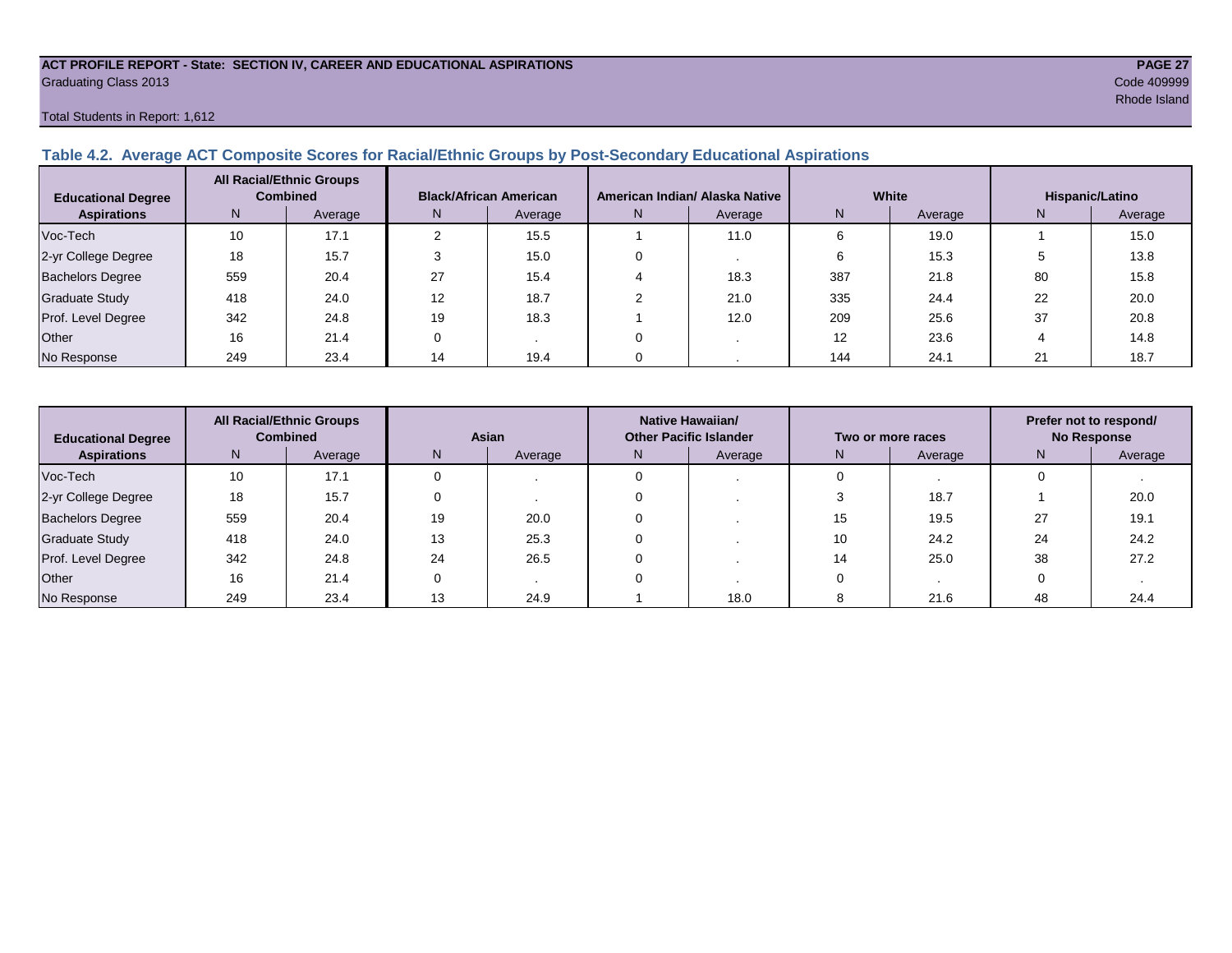#### **ACT PROFILE REPORT - State: SECTION IV, CAREER AND EDUCATIONAL ASPIRATIONS PAGE 27** Graduating Class 2013 Code 409999

Total Students in Report: 1,612

#### **Table 4.2. Average ACT Composite Scores for Racial/Ethnic Groups by Post-Secondary Educational Aspirations**

| <b>Educational Degree</b> | <b>All Racial/Ethnic Groups</b><br><b>Combined</b> |         | <b>Black/African American</b> |         |   | American Indian/ Alaska Native |     | White   | Hispanic/Latino |         |  |
|---------------------------|----------------------------------------------------|---------|-------------------------------|---------|---|--------------------------------|-----|---------|-----------------|---------|--|
| <b>Aspirations</b>        | N.                                                 | Average | N.                            | Average | N | Average                        | Ν   | Average | N               | Average |  |
| Voc-Tech                  | 10                                                 | 17.1    |                               | 15.5    |   | 11.0                           |     | 19.0    |                 | 15.0    |  |
| 2-yr College Degree       | 18                                                 | 15.7    |                               | 15.0    |   |                                |     | 15.3    |                 | 13.8    |  |
| <b>Bachelors Degree</b>   | 559                                                | 20.4    | 27                            | 15.4    |   | 18.3                           | 387 | 21.8    | 80              | 15.8    |  |
| <b>Graduate Study</b>     | 418                                                | 24.0    | 12                            | 18.7    |   | 21.0                           | 335 | 24.4    | 22              | 20.0    |  |
| Prof. Level Degree        | 342                                                | 24.8    | 19                            | 18.3    |   | 12.0                           | 209 | 25.6    | 37              | 20.8    |  |
| Other                     | 16                                                 | 21.4    |                               |         |   |                                | 12  | 23.6    |                 | 14.8    |  |
| No Response               | 249                                                | 23.4    | 14                            | 19.4    |   |                                | 144 | 24.1    | 21              | 18.7    |  |

| <b>All Racial/Ethnic Groups</b><br><b>Combined</b><br><b>Educational Degree</b> |     | <b>Asian</b> |    |         | Native Hawaiian/<br><b>Other Pacific Islander</b> |         | Two or more races | Prefer not to respond/<br><b>No Response</b> |    |         |
|---------------------------------------------------------------------------------|-----|--------------|----|---------|---------------------------------------------------|---------|-------------------|----------------------------------------------|----|---------|
| <b>Aspirations</b>                                                              | N   | Average      | N  | Average | N.                                                | Average |                   | Average                                      | N  | Average |
| Voc-Tech                                                                        | 10  | 17.1         |    |         |                                                   |         |                   |                                              |    |         |
| 2-yr College Degree                                                             | 18  | 15.7         |    |         |                                                   |         |                   | 18.7                                         |    | 20.0    |
| <b>Bachelors Degree</b>                                                         | 559 | 20.4         | 19 | 20.0    |                                                   |         | 15                | 19.5                                         | 27 | 19.1    |
| <b>Graduate Study</b>                                                           | 418 | 24.0         | 13 | 25.3    |                                                   |         | 10                | 24.2                                         | 24 | 24.2    |
| Prof. Level Degree                                                              | 342 | 24.8         | 24 | 26.5    |                                                   |         | 14                | 25.0                                         | 38 | 27.2    |
| Other                                                                           | 16  | 21.4         |    |         |                                                   |         |                   |                                              |    |         |
| No Response                                                                     | 249 | 23.4         | 13 | 24.9    |                                                   | 18.0    |                   | 21.6                                         | 48 | 24.4    |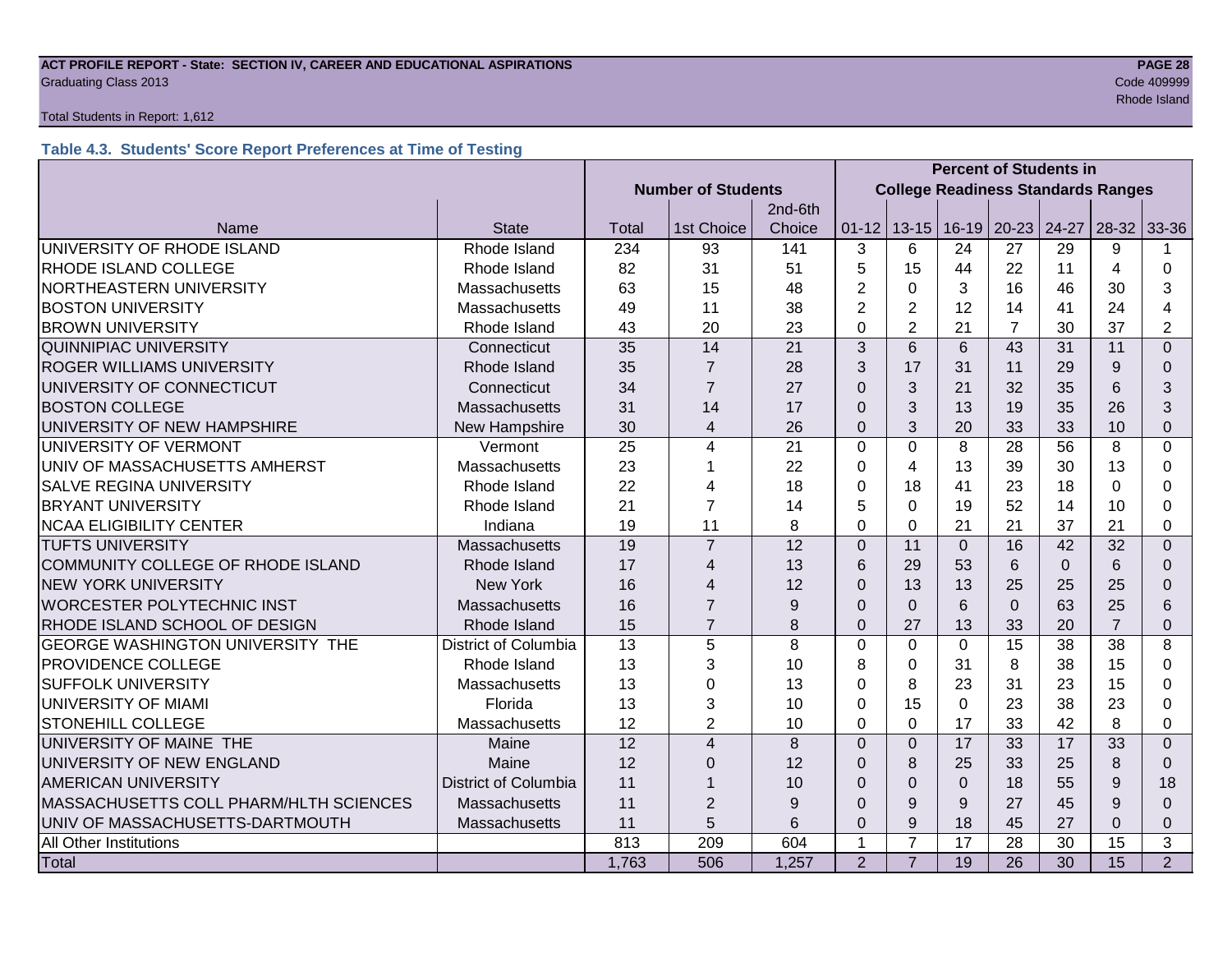#### **ACT PROFILE REPORT - State: SECTION IV, CAREER AND EDUCATIONAL ASPIRATIONS PAGE 28 Graduating Class 2013** Code 409999 Code 409999

#### Total Students in Report: 1,612

### **Table 4.3. Students' Score Report Preferences at Time of Testing**

|                                                           |                             |                 | <b>Percent of Students in</b> |                                           |                |                |                 |                 |          |                |                |
|-----------------------------------------------------------|-----------------------------|-----------------|-------------------------------|-------------------------------------------|----------------|----------------|-----------------|-----------------|----------|----------------|----------------|
|                                                           |                             |                 | <b>Number of Students</b>     | <b>College Readiness Standards Ranges</b> |                |                |                 |                 |          |                |                |
|                                                           |                             |                 |                               | 2nd-6th                                   |                |                |                 |                 |          |                |                |
| Name                                                      | <b>State</b>                | Total           | 1st Choice                    | Choice                                    | $01 - 12$      |                | $13 - 15$ 16-19 | $20 - 23$ 24-27 |          | $28-32$ 33-36  |                |
| UNIVERSITY OF RHODE ISLAND                                | Rhode Island                | 234             | 93                            | 141                                       | 3              | 6              | 24              | 27              | 29       | 9              |                |
| RHODE ISLAND COLLEGE                                      | Rhode Island                | 82              | 31                            | 51                                        | 5              | 15             | 44              | 22              | 11       | 4              | 0              |
| NORTHEASTERN UNIVERSITY                                   | <b>Massachusetts</b>        | 63              | 15                            | 48                                        | 2              | $\Omega$       | 3               | 16              | 46       | 30             | 3              |
| <b>BOSTON UNIVERSITY</b>                                  | Massachusetts               | 49              | 11                            | 38                                        | $\overline{2}$ | $\overline{2}$ | 12              | 14              | 41       | 24             | 4              |
| <b>BROWN UNIVERSITY</b>                                   | Rhode Island                | 43              | 20                            | 23                                        | $\Omega$       | $\overline{2}$ | 21              | $\overline{7}$  | 30       | 37             | $\overline{2}$ |
| <b>QUINNIPIAC UNIVERSITY</b>                              | Connecticut                 | 35              | 14                            | 21                                        | 3              | 6              | 6               | 43              | 31       | 11             | $\overline{0}$ |
| <b>ROGER WILLIAMS UNIVERSITY</b>                          | Rhode Island                | 35              | $\overline{7}$                | 28                                        | 3              | 17             | 31              | 11              | 29       | 9              | $\Omega$       |
| UNIVERSITY OF CONNECTICUT                                 | Connecticut                 | 34              | $\overline{7}$                | 27                                        | $\Omega$       | 3              | 21              | 32              | 35       | 6              | 3              |
| <b>BOSTON COLLEGE</b>                                     | Massachusetts               | 31              | 14                            | 17                                        | $\Omega$       | 3              | 13              | 19              | 35       | 26             | 3              |
| UNIVERSITY OF NEW HAMPSHIRE                               | New Hampshire               | 30              | $\overline{4}$                | 26                                        | $\overline{0}$ | 3              | 20              | 33              | 33       | 10             | $\Omega$       |
| UNIVERSITY OF VERMONT                                     | Vermont                     | 25              | 4                             | 21                                        | $\Omega$       | $\mathbf{0}$   | 8               | 28              | 56       | 8              | $\Omega$       |
| UNIV OF MASSACHUSETTS AMHERST                             | Massachusetts               | 23              |                               | 22                                        | 0              | 4              | 13              | 39              | 30       | 13             | 0              |
| <b>SALVE REGINA UNIVERSITY</b>                            | Rhode Island                | 22              | 4                             | 18                                        | 0              | 18             | 41              | 23              | 18       | $\Omega$       | 0              |
| <b>BRYANT UNIVERSITY</b>                                  | Rhode Island                | 21              | $\overline{7}$                | 14                                        | 5              | $\Omega$       | 19              | 52              | 14       | 10             | 0              |
| <b>NCAA ELIGIBILITY CENTER</b>                            | Indiana                     | 19              | 11                            | 8                                         | $\Omega$       | $\Omega$       | 21              | 21              | 37       | 21             | 0              |
| <b>TUFTS UNIVERSITY</b>                                   | Massachusetts               | 19              | $\overline{7}$                | 12                                        | $\overline{0}$ | 11             | $\overline{0}$  | 16              | 42       | 32             | $\Omega$       |
| COMMUNITY COLLEGE OF RHODE ISLAND                         | Rhode Island                | 17              | 4                             | 13                                        | 6              | 29             | 53              | 6               | $\Omega$ | 6              | $\Omega$       |
| <b>NEW YORK UNIVERSITY</b>                                | <b>New York</b>             | 16              | 4                             | 12                                        | $\Omega$       | 13             | 13              | 25              | 25       | 25             | 0              |
| <b>WORCESTER POLYTECHNIC INST</b>                         | Massachusetts               | 16              | $\overline{7}$                | 9                                         | $\Omega$       | $\Omega$       | 6               | $\Omega$        | 63       | 25             | 6              |
| RHODE ISLAND SCHOOL OF DESIGN                             | Rhode Island                | 15              | $\overline{7}$                | 8                                         | $\Omega$       | 27             | 13              | 33              | 20       | $\overline{7}$ | $\Omega$       |
| <b>GEORGE WASHINGTON UNIVERSITY THE</b>                   | <b>District of Columbia</b> | 13              | 5                             | 8                                         | $\Omega$       | $\mathbf{0}$   | $\Omega$        | 15              | 38       | 38             | 8              |
| <b>PROVIDENCE COLLEGE</b>                                 | Rhode Island                | 13              | 3                             | 10                                        | 8              | $\Omega$       | 31              | 8               | 38       | 15             | $\Omega$       |
| <b>SUFFOLK UNIVERSITY</b>                                 | Massachusetts               | 13              | 0                             | 13                                        | 0              | 8              | 23              | 31              | 23       | 15             | 0              |
| <b>UNIVERSITY OF MIAMI</b>                                | Florida                     | 13              | 3                             | 10                                        | 0              | 15             | $\Omega$        | 23              | 38       | 23             | 0              |
| <b>STONEHILL COLLEGE</b>                                  | Massachusetts               | 12              | $\overline{2}$                | 10                                        | $\Omega$       | $\Omega$       | 17              | 33              | 42       | 8              | 0              |
| UNIVERSITY OF MAINE THE                                   | Maine                       | $\overline{12}$ | $\overline{4}$                | 8                                         | $\Omega$       | $\Omega$       | 17              | 33              | 17       | 33             | $\Omega$       |
| UNIVERSITY OF NEW ENGLAND                                 | Maine                       | 12              | 0                             | 12                                        | $\Omega$       | 8              | 25              | 33              | 25       | 8              | $\Omega$       |
| <b>District of Columbia</b><br><b>AMERICAN UNIVERSITY</b> |                             | 11              |                               | 10                                        | $\Omega$       | $\Omega$       | $\Omega$        | 18              | 55       | 9              | 18             |
| MASSACHUSETTS COLL PHARM/HLTH SCIENCES<br>Massachusetts   |                             | 11              | $\overline{2}$                | 9                                         | $\Omega$       | 9              | 9               | 27              | 45       | 9              | $\Omega$       |
| UNIV OF MASSACHUSETTS-DARTMOUTH                           | Massachusetts               | 11              | 5                             | 6                                         | $\mathbf 0$    | 9              | 18              | 45              | 27       | $\Omega$       | 0              |
| All Other Institutions                                    |                             | 813             | 209                           | 604                                       | 1              | $\overline{7}$ | 17              | 28              | 30       | 15             | 3              |
| Total                                                     |                             | 1,763           | 506                           | 1,257                                     | 2              | $\overline{7}$ | 19              | $\overline{26}$ | 30       | 15             | $\overline{2}$ |

results and the control of the control of the control of the control of the control of the control of the control of the control of the control of the control of the control of the control of the control of the control of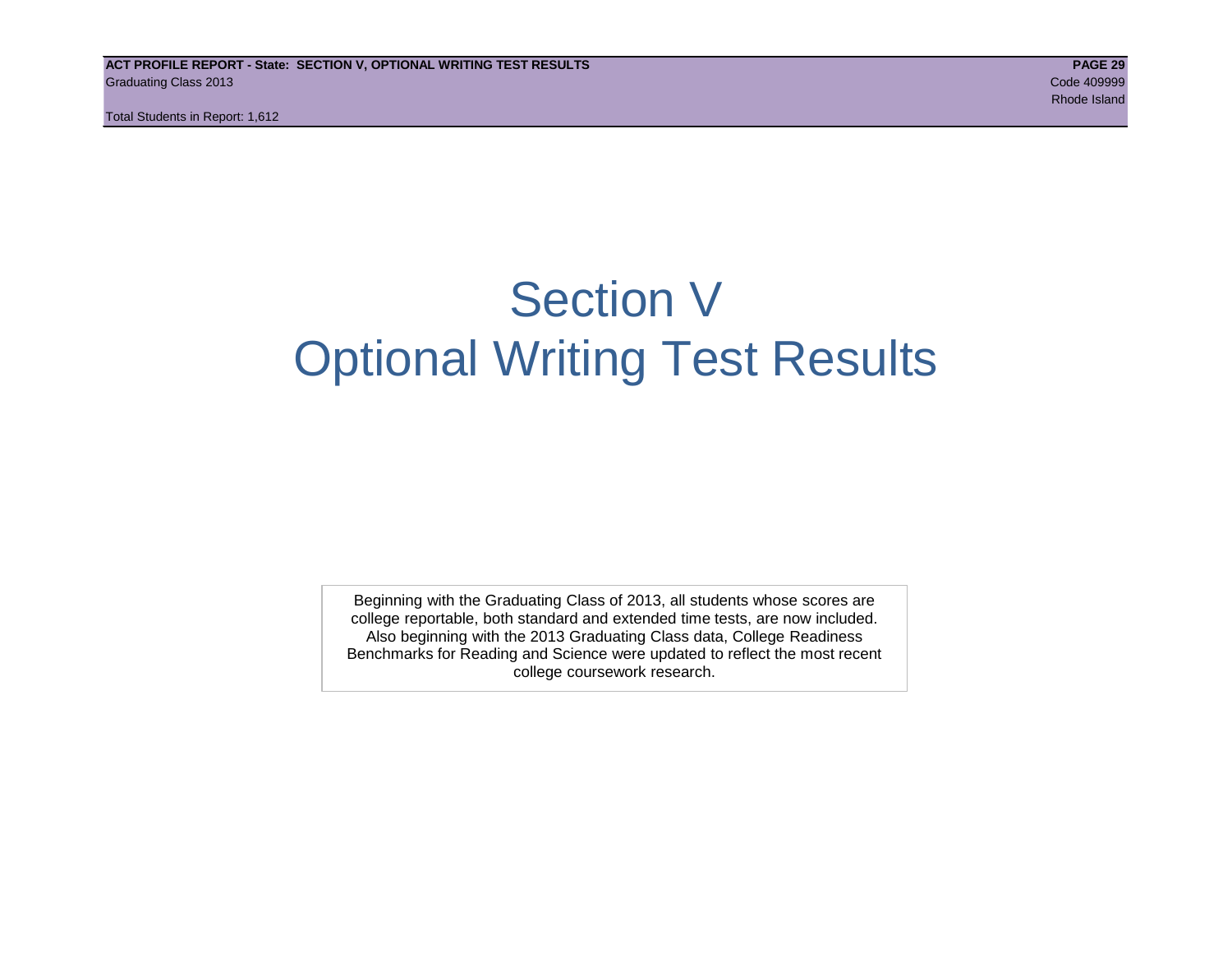# Section V Optional Writing Test Results

Beginning with the Graduating Class of 2013, all students whose scores are college reportable, both standard and extended time tests, are now included. Also beginning with the 2013 Graduating Class data, College Readiness Benchmarks for Reading and Science were updated to reflect the most recent college coursework research.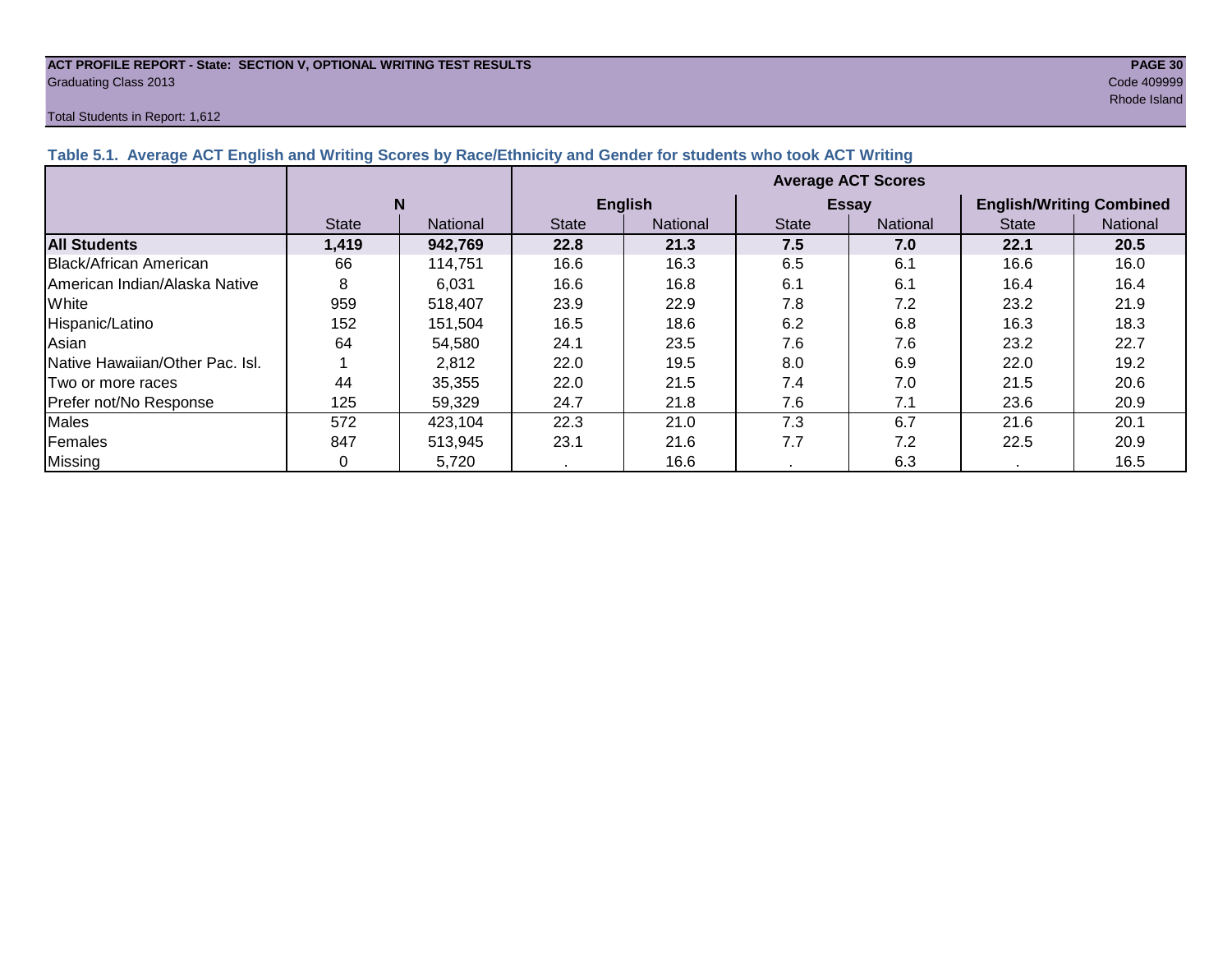#### **ACT PROFILE REPORT - State: SECTION V, OPTIONAL WRITING TEST RESULTS PAGE 30** Graduating Class 2013 Code 409999

#### Total Students in Report: 1,612

results and the state of the state of the state of the state of the state of the state of the Shand Shand Shand

| Table 5.1. Average ACT English and Writing Scores by Race/Ethnicity and Gender for students who took ACT Writing |              |                 |                           |                 |              |                 |                                 |          |  |  |  |
|------------------------------------------------------------------------------------------------------------------|--------------|-----------------|---------------------------|-----------------|--------------|-----------------|---------------------------------|----------|--|--|--|
|                                                                                                                  |              |                 | <b>Average ACT Scores</b> |                 |              |                 |                                 |          |  |  |  |
|                                                                                                                  |              | N               |                           | <b>English</b>  |              | <b>Essay</b>    | <b>English/Writing Combined</b> |          |  |  |  |
|                                                                                                                  | <b>State</b> | <b>National</b> | <b>State</b>              | <b>National</b> | <b>State</b> | <b>National</b> | <b>State</b>                    | National |  |  |  |
| <b>All Students</b>                                                                                              | 1,419        | 942,769         | 22.8                      | 21.3            | 7.5          | 7.0             | 22.1                            | 20.5     |  |  |  |
| Black/African American                                                                                           | 66           | 114,751         | 16.6                      | 16.3            | 6.5          | 6.1             | 16.6                            | 16.0     |  |  |  |
| IAmerican Indian/Alaska Native                                                                                   | 8            | 6,031           | 16.6                      | 16.8            | 6.1          | 6.1             | 16.4                            | 16.4     |  |  |  |
| White                                                                                                            | 959          | 518,407         | 23.9                      | 22.9            | 7.8          | 7.2             | 23.2                            | 21.9     |  |  |  |
| Hispanic/Latino                                                                                                  | 152          | 151,504         | 16.5                      | 18.6            | 6.2          | 6.8             | 16.3                            | 18.3     |  |  |  |
| Asian                                                                                                            | 64           | 54,580          | 24.1                      | 23.5            | 7.6          | 7.6             | 23.2                            | 22.7     |  |  |  |
| Native Hawaiian/Other Pac. Isl.                                                                                  |              | 2,812           | 22.0                      | 19.5            | 8.0          | 6.9             | 22.0                            | 19.2     |  |  |  |
| I Two or more races                                                                                              | 44           | 35,355          | 22.0                      | 21.5            | 7.4          | 7.0             | 21.5                            | 20.6     |  |  |  |
| Prefer not/No Response                                                                                           | 125          | 59.329          | 24.7                      | 21.8            | 7.6          | 7.1             | 23.6                            | 20.9     |  |  |  |
| <b>Males</b>                                                                                                     | 572          | 423,104         | 22.3                      | 21.0            | 7.3          | 6.7             | 21.6                            | 20.1     |  |  |  |
| Females                                                                                                          | 847          | 513,945         | 23.1                      | 21.6            | 7.7          | 7.2             | 22.5                            | 20.9     |  |  |  |
| <b>Missing</b>                                                                                                   |              | 5,720           |                           | 16.6            |              | 6.3             |                                 | 16.5     |  |  |  |